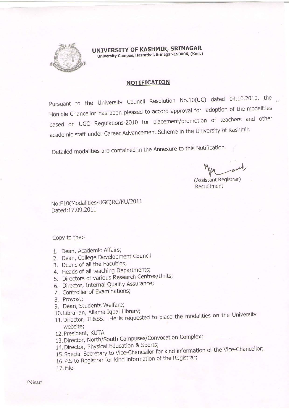

UNIVERSITY OF KASHMIR, SRINAGAR University Campus, Hazratbal, Srinagar-190006, (Kmr.)

### NOTIFICATION

Pursuant to the University Council Resolution No.10(UC) dated 04.10.2010, the Hon'ble Chancellor has been pleased to accord approval for adoption of the modalities based on UGC Regulations-2010 for placement/promotion of teachers and other academic staff under Career Advancement Scheme in the University of Kashmir.

Detailed modalities are contained in the Annexure to this Notification.

(Assistant Registrar)

Recruitment

No : F 1 0(Moda lities-UGC)RC/KU/20 1 1 Dated: 17.09.2011

Copy to the:-

- 1, Dean, Academic Affairs;
- 2. Oean, College Development Council
- 3, Deans of all the Faculties;
- 4. Heads of all teaching Departments;
- 5. Directors of various Research Centres/Units;
- 6, Director, Internal Quality Assurance;
- 7. Controller of Examinations;
- 8. Provost;
- 9. Dean, Students Welfare;
- 10, Librarian, Allama Iqbal Library;
- 11. Director, IT&SS. He is requested to place the modalities on the University website;
- 12, President, KUTA
- 13. Director, North/South Campuses/Convocation Complex;
- 14. Director, Physical Education & Sports;
- 15. Special Secretary to Vice-Chancellor for kind information of the Vice-Chancellor;
- 16. P,S to Registrar for kind information of the Registrar;
- 17. File.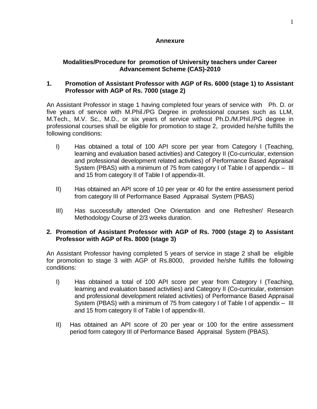## **Annexure**

## **Modalities/Procedure for promotion of University teachers under Career Advancement Scheme (CAS)-2010**

## **1. Promotion of Assistant Professor with AGP of Rs. 6000 (stage 1) to Assistant Professor with AGP of Rs. 7000 (stage 2)**

An Assistant Professor in stage 1 having completed four years of service with Ph. D. or five years of service with M.Phil./PG Degree in professional courses such as LLM, M.Tech., M.V. Sc., M.D., or six years of service without Ph.D./M.Phil./PG degree in professional courses shall be eligible for promotion to stage 2, provided he/she fulfills the following conditions:

- I) Has obtained a total of 100 API score per year from Category I (Teaching, learning and evaluation based activities) and Category II (Co-curricular, extension and professional development related activities) of Performance Based Appraisal System (PBAS) with a minimum of 75 from category I of Table I of appendix – III and 15 from category II of Table I of appendix-III.
- II) Has obtained an API score of 10 per year or 40 for the entire assessment period from category III of Performance Based Appraisal System (PBAS)
- III) Has successfully attended One Orientation and one Refresher/ Research Methodology Course of 2/3 weeks duration.

## **2. Promotion of Assistant Professor with AGP of Rs. 7000 (stage 2) to Assistant Professor with AGP of Rs. 8000 (stage 3)**

An Assistant Professor having completed 5 years of service in stage 2 shall be eligible for promotion to stage 3 with AGP of Rs.8000, provided he/she fulfills the following conditions:

- I) Has obtained a total of 100 API score per year from Category I (Teaching, learning and evaluation based activities) and Category II (Co-curricular, extension and professional development related activities) of Performance Based Appraisal System (PBAS) with a minimum of 75 from category I of Table I of appendix – III and 15 from category II of Table I of appendix-III.
- II) Has obtained an API score of 20 per year or 100 for the entire assessment period form category III of Performance Based Appraisal System (PBAS).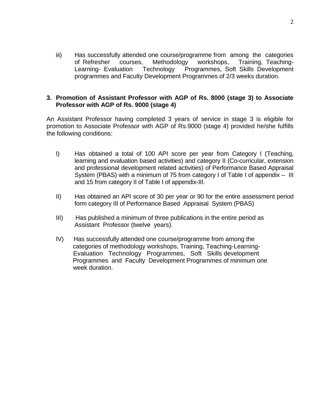iii) Has successfully attended one course/programme from among the categories of Refresher courses, Methodology workshops, Training, Teaching-Learning- Evaluation Technology Programmes, Soft Skills Development programmes and Faculty Development Programmes of 2/3 weeks duration.

### **3. Promotion of Assistant Professor with AGP of Rs. 8000 (stage 3) to Associate Professor with AGP of Rs. 9000 (stage 4)**

An Assistant Professor having completed 3 years of service in stage 3 is eligible for promotion to Associate Professor with AGP of Rs.9000 (stage 4) provided he/she fulfills the following conditions:

- I) Has obtained a total of 100 API score per year from Category I (Teaching, learning and evaluation based activities) and category II (Co-curricular, extension and professional development related activities) of Performance Based Appraisal System (PBAS) with a minimum of 75 from category I of Table I of appendix – III and 15 from category II of Table I of appendix-III.
- II) Has obtained an API score of 30 per year or 90 for the entire assessment period form category III of Performance Based Appraisal System (PBAS)
- III) Has published a minimum of three publications in the entire period as Assistant Professor (twelve years).
- IV) Has successfully attended one course/programme from among the categories of methodology workshops, Training, Teaching-Learning- Evaluation Technology Programmes, Soft Skills development Programmes and Faculty Development Programmes of minimum one week duration.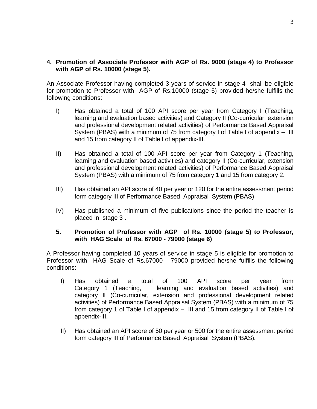### **4. Promotion of Associate Professor with AGP of Rs. 9000 (stage 4) to Professor with AGP of Rs. 10000 (stage 5).**

An Associate Professor having completed 3 years of service in stage 4 shall be eligible for promotion to Professor with AGP of Rs.10000 (stage 5) provided he/she fulfills the following conditions:

- I) Has obtained a total of 100 API score per year from Category I (Teaching, learning and evaluation based activities) and Category II (Co-curricular, extension and professional development related activities) of Performance Based Appraisal System (PBAS) with a minimum of 75 from category I of Table I of appendix – III and 15 from category II of Table I of appendix-III.
- II) Has obtained a total of 100 API score per year from Category 1 (Teaching, learning and evaluation based activities) and category II (Co-curricular, extension and professional development related activities) of Performance Based Appraisal System (PBAS) with a minimum of 75 from category 1 and 15 from category 2.
- III) Has obtained an API score of 40 per year or 120 for the entire assessment period form category III of Performance Based Appraisal System (PBAS)
- IV) Has published a minimum of five publications since the period the teacher is placed in stage 3 .

### **5. Promotion of Professor with AGP of Rs. 10000 (stage 5) to Professor, with HAG Scale of Rs. 67000 - 79000 (stage 6)**

A Professor having completed 10 years of service in stage 5 is eligible for promotion to Professor with HAG Scale of Rs.67000 - 79000 provided he/she fulfills the following conditions:

- I) Has obtained a total of 100 API score per year from Category 1 (Teaching, learning and evaluation based activities) and category II (Co-curricular, extension and professional development related activities) of Performance Based Appraisal System (PBAS) with a minimum of 75 from category 1 of Table I of appendix – III and 15 from category II of Table I of appendix-III.
- II) Has obtained an API score of 50 per year or 500 for the entire assessment period form category III of Performance Based Appraisal System (PBAS).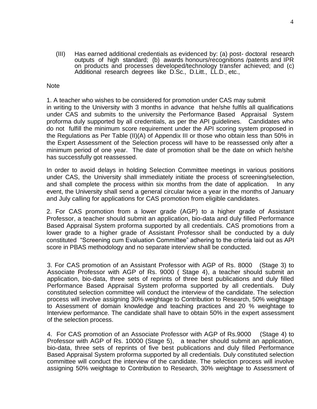(III) Has earned additional credentials as evidenced by: (a) post- doctoral research outputs of high standard; (b) awards honours/recognitions /patents and IPR on products and processes developed/technology transfer achieved; and (c) Additional research degrees like D.Sc., D.Litt., LL.D., etc.,

#### **Note**

1. A teacher who wishes to be considered for promotion under CAS may submit in writing to the University with 3 months in advance that he/she fulfils all qualifications under CAS and submits to the university the Performance Based Appraisal System proforma duly supported by all credentials, as per the API guidelines. Candidates who do not fulfill the minimum score requirement under the API scoring system proposed in the Regulations as Per Table (II)(A) of Appendix III or those who obtain less than 50% in the Expert Assessment of the Selection process will have to be reassessed only after a minimum period of one year. The date of promotion shall be the date on which he/she has successfully got reassessed.

In order to avoid delays in holding Selection Committee meetings in various positions under CAS, the University shall immediately initiate the process of screening/selection, and shall complete the process within six months from the date of application. In any event, the University shall send a general circular twice a year in the months of January and July calling for applications for CAS promotion from eligible candidates.

2. For CAS promotion from a lower grade (AGP) to a higher grade of Assistant Professor, a teacher should submit an application, bio-data and duly filled Performance Based Appraisal System proforma supported by all credentials. CAS promotions from a lower grade to a higher grade of Assistant Professor shall be conducted by a duly constituted "Screening cum Evaluation Committee" adhering to the criteria laid out as API score in PBAS methodology and no separate interview shall be conducted.

3. For CAS promotion of an Assistant Professor with AGP of Rs. 8000 (Stage 3) to Associate Professor with AGP of Rs. 9000 ( Stage 4), a teacher should submit an application, bio-data, three sets of reprints of three best publications and duly filled Performance Based Appraisal System proforma supported by all credentials. Duly constituted selection committee will conduct the interview of the candidate. The selection process will involve assigning 30% weightage to Contribution to Research, 50% weightage to Assessment of domain knowledge and teaching practices and 20 % weightage to Interview performance. The candidate shall have to obtain 50% in the expert assessment of the selection process.

4. For CAS promotion of an Associate Professor with AGP of Rs.9000 (Stage 4) to Professor with AGP of Rs. 10000 (Stage 5), a teacher should submit an application, bio-data, three sets of reprints of five best publications and duly filled Performance Based Appraisal System proforma supported by all credentials. Duly constituted selection committee will conduct the interview of the candidate. The selection process will involve assigning 50% weightage to Contribution to Research, 30% weightage to Assessment of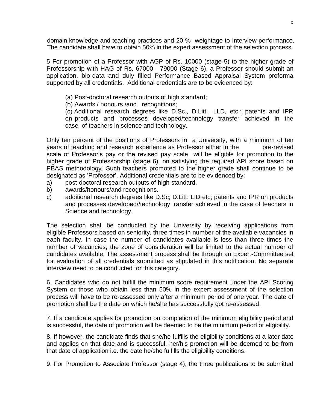domain knowledge and teaching practices and 20 % weightage to Interview performance. The candidate shall have to obtain 50% in the expert assessment of the selection process.

5 For promotion of a Professor with AGP of Rs. 10000 (stage 5) to the higher grade of Professorship with HAG of Rs. 67000 - 79000 (Stage 6), a Professor should submit an application, bio-data and duly filled Performance Based Appraisal System proforma supported by all credentials. Additional credentials are to be evidenced by:

- (a) Post-doctoral research outputs of high standard;
- (b) Awards / honours /and recognitions;

(c) Additional research degrees like D.Sc., D.Litt., LLD, etc.; patents and IPR on products and processes developed/technology transfer achieved in the case of teachers in science and technology.

Only ten percent of the positions of Professors in a University, with a minimum of ten years of teaching and research experience as Professor either in the pre-revised scale of Professor"s pay or the revised pay scale will be eligible for promotion to the higher grade of Professorship (stage 6), on satisfying the required API score based on PBAS methodology. Such teachers promoted to the higher grade shall continue to be designated as "Professor". Additional credentials are to be evidenced by:

- a) post-doctoral research outputs of high standard.
- b) awards/honours/and recognitions.
- c) additional research degrees like D.Sc; D.Litt; LID etc; patents and IPR on products and processes developed//technology transfer achieved in the case of teachers in Science and technology.

The selection shall be conducted by the University by receiving applications from eligible Professors based on seniority, three times in number of the available vacancies in each faculty. In case the number of candidates available is less than three times the number of vacancies, the zone of consideration will be limited to the actual number of candidates available. The assessment process shall be through an Expert-Committee set for evaluation of all credentials submitted as stipulated in this notification. No separate interview need to be conducted for this category.

6. Candidates who do not fulfill the minimum score requirement under the API Scoring System or those who obtain less than 50% in the expert assessment of the selection process will have to be re-assessed only after a minimum period of one year. The date of promotion shall be the date on which he/she has successfully got re-assessed.

7. If a candidate applies for promotion on completion of the minimum eligibility period and is successful, the date of promotion will be deemed to be the minimum period of eligibility.

8. If however, the candidate finds that she/he fulfills the eligibility conditions at a later date and applies on that date and is successful, her/his promotion will be deemed to be from that date of application i.e. the date he/she fulfills the eligibility conditions.

9. For Promotion to Associate Professor (stage 4), the three publications to be submitted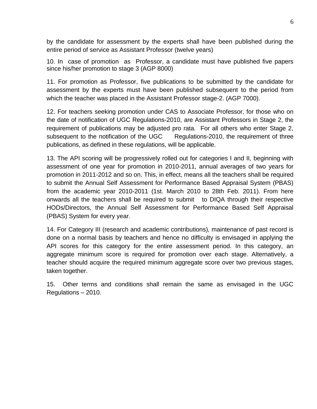by the candidate for assessment by the experts shall have been published during the entire period of service as Assistant Professor (twelve years)

10. In case of promotion as Professor, a candidate must have published five papers since his/her promotion to stage 3 (AGP 8000)

11. For promotion as Professor, five publications to be submitted by the candidate for assessment by the experts must have been published subsequent to the period from which the teacher was placed in the Assistant Professor stage-2. (AGP 7000).

12. For teachers seeking promotion under CAS to Associate Professor, for those who on the date of notification of UGC Regulations-2010, are Assistant Professors in Stage 2, the requirement of publications may be adjusted pro rata. For all others who enter Stage 2, subsequent to the notification of the UGC Regulations-2010, the requirement of three publications, as defined in these regulations, will be applicable.

13. The API scoring will be progressively rolled out for categories I and II, beginning with assessment of one year for promotion in 2010-2011, annual averages of two years for promotion in 2011-2012 and so on. This, in effect, means all the teachers shall be required to submit the Annual Self Assessment for Performance Based Appraisal System (PBAS) from the academic year 2010-2011 (1st. March 2010 to 28th Feb. 2011). From here onwards all the teachers shall be required to submit to DIQA through their respective HODs/Directors, the Annual Self Assessment for Performance Based Self Appraisal (PBAS) System for every year.

14. For Category III (research and academic contributions), maintenance of past record is done on a normal basis by teachers and hence no difficulty is envisaged in applying the API scores for this category for the entire assessment period. In this category, an aggregate minimum score is required for promotion over each stage. Alternatively, a teacher should acquire the required minimum aggregate score over two previous stages, taken together.

15. Other terms and conditions shall remain the same as envisaged in the UGC Regulations – 2010.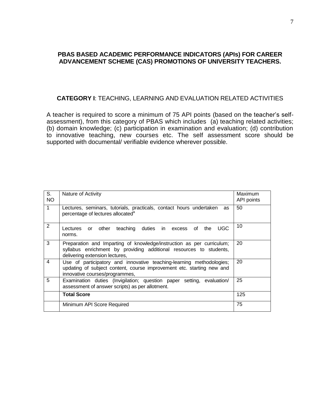### **PBAS BASED ACADEMIC PERFORMANCE INDICATORS (APIs) FOR CAREER ADVANCEMENT SCHEME (CAS) PROMOTIONS OF UNIVERSITY TEACHERS.**

#### **CATEGORY I**: TEACHING, LEARNING AND EVALUATION RELATED ACTIVITIES

A teacher is required to score a minimum of 75 API points (based on the teacher"s selfassessment), from this category of PBAS which includes (a) teaching related activities; (b) domain knowledge; (c) participation in examination and evaluation; (d) contribution to innovative teaching, new courses etc. The self assessment score should be supported with documental/ verifiable evidence wherever possible.

| S.<br><b>NO</b> | Nature of Activity                                                                                                                                                              | Maximum<br>API points |
|-----------------|---------------------------------------------------------------------------------------------------------------------------------------------------------------------------------|-----------------------|
| $\mathbf{1}$    | Lectures, seminars, tutorials, practicals, contact hours undertaken<br>as<br>percentage of lectures allocated <sup>a</sup>                                                      | 50                    |
| $\overline{2}$  | <b>UGC</b><br>duties in excess of the<br>other<br>teaching<br>Lectures or<br>norms.                                                                                             | 10                    |
| 3               | Preparation and Imparting of knowledge/instruction as per curriculum;<br>syllabus enrichment by providing additional resources to students,<br>delivering extension lectures,   | 20                    |
| 4               | Use of participatory and innovative teaching-learning methodologies;<br>updating of subject content, course improvement etc. starting new and<br>innovative courses/programmes, | 20                    |
| 5               | Examination duties (Invigilation; question paper setting, evaluation/<br>assessment of answer scripts) as per allotment.                                                        | 25                    |
|                 | <b>Total Score</b>                                                                                                                                                              | 125                   |
|                 | Minimum API Score Required                                                                                                                                                      | 75                    |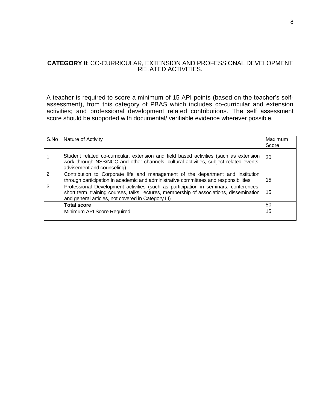#### **CATEGORY II**: CO-CURRICULAR, EXTENSION AND PROFESSIONAL DEVELOPMENT RELATED ACTIVITIES.

A teacher is required to score a minimum of 15 API points (based on the teacher's selfassessment), from this category of PBAS which includes co-curricular and extension activities; and professional development related contributions. The self assessment score should be supported with documental/ verifiable evidence wherever possible.

| S.No           | Nature of Activity                                                                                                                                                                                                                     | Maximum<br>Score |
|----------------|----------------------------------------------------------------------------------------------------------------------------------------------------------------------------------------------------------------------------------------|------------------|
|                | Student related co-curricular, extension and field based activities (such as extension<br>work through NSS/NCC and other channels, cultural activities, subject related events,<br>advisement and counseling).                         | 20               |
| $\overline{2}$ | Contribution to Corporate life and management of the department and institution<br>through participation in academic and administrative committees and responsibilities                                                                | 15               |
| 3              | Professional Development activities (such as participation in seminars, conferences,<br>short term, training courses, talks, lectures, membership of associations, dissemination<br>and general articles, not covered in Category III) | 15               |
|                | <b>Total score</b>                                                                                                                                                                                                                     | 50               |
|                | Minimum API Score Required                                                                                                                                                                                                             | 15               |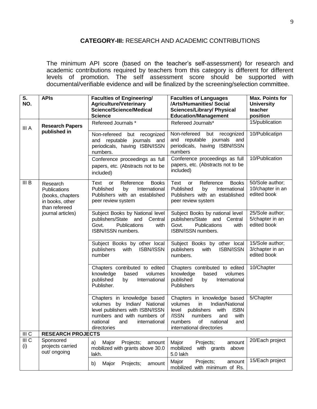## **CATEGORY-III:** RESEARCH AND ACADEMIC CONTRIBUTIONS

The minimum API score (based on the teacher"s self-assessment) for research and academic contributions required by teachers from this category is different for different levels of promotion. The self assessment score should be supported with documental/verifiable evidence and will be finalized by the screening/selection committee.

| S.<br>NO.               | <b>APIs</b>                                                                      | <b>Faculties of Engineering/</b><br><b>Agriculture/Veterinary</b><br><b>Science/Science/Medical</b><br><b>Science</b>                                                           | <b>Faculties of Languages</b><br>/Arts/Humanities/ Social<br><b>Sciences/Library/ Physical</b><br><b>Education/Management</b>                                                                                  | <b>Max. Points for</b><br><b>University</b><br>teacher<br>position |
|-------------------------|----------------------------------------------------------------------------------|---------------------------------------------------------------------------------------------------------------------------------------------------------------------------------|----------------------------------------------------------------------------------------------------------------------------------------------------------------------------------------------------------------|--------------------------------------------------------------------|
| III A                   | <b>Research Papers</b>                                                           | Refereed Journals *                                                                                                                                                             | Refereed Journals*                                                                                                                                                                                             | 15/publication                                                     |
|                         | published in                                                                     | Non-refereed but recognized<br>and reputable journals and<br>periodicals, having ISBN/ISSN<br>numbers.                                                                          | Non-refereed but<br>recognized<br>and reputable journals and<br>periodicals, having ISBN/ISSN<br>numbers                                                                                                       | 10/Publicatipn                                                     |
|                         |                                                                                  | Conference proceedings as full<br>papers, etc. (Abstracts not to be<br>included)                                                                                                | Conference proceedings as full<br>papers, etc. (Abstracts not to be<br>included)                                                                                                                               | 10/Publication                                                     |
| III B                   | Research<br>Publications<br>(books, chapters<br>in books, other<br>than refereed | Text<br>Reference<br><b>Books</b><br><b>or</b><br>Published<br>International<br>by<br>Publishers with an established<br>peer review system                                      | Reference<br><b>Books</b><br>Text or<br>Published<br>International<br>by<br>Publishers with an established<br>peer review system                                                                               | 50/Sole author;<br>10/chapter in an<br>edited book                 |
|                         | journal articles)                                                                | Subject Books by National level<br>publishers/State and<br>Central<br>Govt.<br>Publications<br>with<br>ISBN/ISSN numbers.                                                       | Subject Books by national level<br>publishers/State and<br>Central<br>Govt.<br>Publications<br>with<br>ISBN/ISSN numbers.                                                                                      | 25/Sole author;<br>5/chapter in an<br>edited book                  |
|                         |                                                                                  | Subject Books by other local<br>publishers<br>ISBN/ISSN<br>with<br>number                                                                                                       | Subject Books by other local<br>publishers<br><b>ISBN/ISSN</b><br>with<br>numbers.                                                                                                                             | $15/Sole$ author;<br>3/chapter in an<br>edited book                |
|                         |                                                                                  | Chapters contributed to edited<br>based<br>volumes<br>knowledge<br>published<br>International<br>by<br>Publisher.                                                               | Chapters contributed to edited<br>knowledge<br>based<br>volumes<br>published<br>International<br>by<br><b>Publishers</b>                                                                                       | 10/Chapter                                                         |
|                         |                                                                                  | Chapters in knowledge based<br>volumes by Indian/ National<br>level publishers with ISBN/ISSN<br>numbers and with numbers of<br>national<br>and<br>international<br>directories | Chapters in knowledge based<br>in<br>volumes<br>Indian/National<br>level publishers<br>with<br><b>ISBN</b><br>/ISSN<br>numbers<br>and<br>with<br>of<br>numbers<br>national<br>and<br>international directories | 5/Chapter                                                          |
| III C                   | <b>RESEARCH PROJECTS</b>                                                         |                                                                                                                                                                                 |                                                                                                                                                                                                                |                                                                    |
| III <sub>C</sub><br>(i) | Sponsored<br>projects carried<br>out/ ongoing                                    | Major<br>Projects;<br>a)<br>amount<br>mobilized with grants above 30.0<br>lakh.                                                                                                 | Major<br>amount<br>Projects;<br>mobilized<br>with grants<br>above<br>5.0 lakh                                                                                                                                  | 20/Each project                                                    |
|                         |                                                                                  | Projects;<br>Major<br>b)<br>amount                                                                                                                                              | Major<br>Projects;<br>amount<br>mobilized with minimum of Rs.                                                                                                                                                  | 15/Each project                                                    |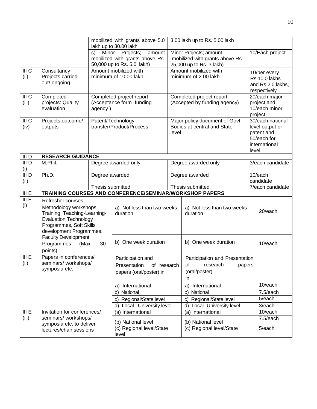|                           |                                                                                                                                                                    |                                                                 | mobilized with grants above 5.0<br>lakh up to 30.00 lakh                                                                                                                               | 3.00 lakh up to Rs. 5.00 lakh                                                     |                                                                        |  |                                                                                             |
|---------------------------|--------------------------------------------------------------------------------------------------------------------------------------------------------------------|-----------------------------------------------------------------|----------------------------------------------------------------------------------------------------------------------------------------------------------------------------------------|-----------------------------------------------------------------------------------|------------------------------------------------------------------------|--|---------------------------------------------------------------------------------------------|
|                           |                                                                                                                                                                    | C)                                                              | Minor Projects; amount<br>Minor<br>Projects;<br>amount<br>mobilized with grants above Rs.<br>mobilized with grants above Rs.<br>50,000 up to Rs. 5.0 lakh)<br>25,000 up to Rs. 3 lakh) |                                                                                   |                                                                        |  | 10/Each project                                                                             |
| III <sub>C</sub><br>(ii)  | Consultancy<br>Projects carried<br>out/ ongoing                                                                                                                    | Amount mobilized with<br>minimum of 10.00 lakh                  |                                                                                                                                                                                        |                                                                                   | Amount mobilized with<br>minimum of 2.00 lakh                          |  | 10/per every<br>Rs.10.0 lakhs<br>and Rs.2.0 lakhs,<br>respectively                          |
| III <sub>C</sub><br>(iii) | Completed<br>projects: Quality<br>evaluation                                                                                                                       | Completed project report<br>(Acceptance form funding<br>agency) |                                                                                                                                                                                        |                                                                                   | Completed project report<br>(Accepted by funding agency)               |  | $20$ /each major<br>project and<br>10/each minor<br>project                                 |
| III <sub>C</sub><br>(iv)  | Projects outcome/<br>outputs                                                                                                                                       | Patent/Technology<br>transfer/Product/Process                   |                                                                                                                                                                                        |                                                                                   | Major policy document of Govt.<br>Bodies at central and State<br>level |  | 30/each national<br>level output or<br>patent and<br>50/each for<br>international<br>level. |
| III D                     | <b>RESEARCH GUIDANCE</b>                                                                                                                                           |                                                                 |                                                                                                                                                                                        |                                                                                   |                                                                        |  |                                                                                             |
| III D<br>(i)              | M.Phil.                                                                                                                                                            |                                                                 | Degree awarded only                                                                                                                                                                    |                                                                                   | Degree awarded only                                                    |  | 3/each candidate                                                                            |
| III D<br>(ii)             | Ph.D.                                                                                                                                                              |                                                                 | Degree awarded                                                                                                                                                                         |                                                                                   | Degree awarded                                                         |  | 10/each<br>candidate                                                                        |
|                           |                                                                                                                                                                    |                                                                 | Thesis submitted                                                                                                                                                                       |                                                                                   | Thesis submitted                                                       |  | 7/each candidate                                                                            |
| III E                     |                                                                                                                                                                    |                                                                 | TRAINING COURSES AND CONFERENCE/SEMINAR/WORKSHOP PAPERS                                                                                                                                |                                                                                   |                                                                        |  |                                                                                             |
| III E<br>(i)              | Refresher courses,<br>Methodology workshops,<br>Training, Teaching-Learning-<br><b>Evaluation Technology</b><br>Programmes, Soft Skills<br>development Programmes, |                                                                 | a) Not less than two weeks<br>duration<br>duration                                                                                                                                     |                                                                                   | a) Not less than two weeks                                             |  | 20/each                                                                                     |
|                           | <b>Faculty Development</b><br>Programmes<br>(Max:<br>points)                                                                                                       | 30                                                              | b) One week duration                                                                                                                                                                   | b) One week duration                                                              |                                                                        |  | 10/each                                                                                     |
| III E<br>(ii)             | Papers in conferences/<br>seminars/ workshops/<br>symposia etc.                                                                                                    |                                                                 | Participation and<br>of research<br>Presentation<br>papers (oral/poster) in                                                                                                            | Participation and Presentation<br>οf<br>research<br>papers<br>(oral/poster)<br>in |                                                                        |  |                                                                                             |
|                           |                                                                                                                                                                    |                                                                 | a) International                                                                                                                                                                       |                                                                                   | a) International                                                       |  | 10/each                                                                                     |
|                           |                                                                                                                                                                    |                                                                 | National<br>b)                                                                                                                                                                         |                                                                                   | National<br>b)                                                         |  | $7.5$ /each                                                                                 |
|                           |                                                                                                                                                                    |                                                                 | Regional/State level<br>$\mathbf{C}$                                                                                                                                                   |                                                                                   | Regional/State level<br>$\mathbf{C}$                                   |  | 5/each                                                                                      |
|                           |                                                                                                                                                                    |                                                                 | Local - University level<br>d)                                                                                                                                                         |                                                                                   | Local -University level<br>d)                                          |  | 3/each                                                                                      |
| III E                     | Invitation for conferences/                                                                                                                                        |                                                                 | (a) International                                                                                                                                                                      |                                                                                   | (a) International                                                      |  | 10/each                                                                                     |
| (iii)                     | seminars/ workshops/<br>symposia etc. to deliver                                                                                                                   |                                                                 | (b) National level                                                                                                                                                                     |                                                                                   | (b) National level                                                     |  | 7.5/each                                                                                    |
|                           | lectures/chair sessions                                                                                                                                            |                                                                 | (c) Regional level/State<br>level                                                                                                                                                      |                                                                                   | (c) Regional level/State                                               |  | 5/each                                                                                      |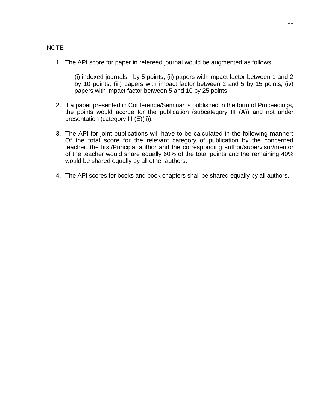### NOTE

1. The API score for paper in refereed journal would be augmented as follows:

(i) indexed journals - by 5 points; (ii) papers with impact factor between 1 and 2 by 10 points; (iii) papers with impact factor between 2 and 5 by 15 points; (iv) papers with impact factor between 5 and 10 by 25 points.

- 2. If a paper presented in Conference/Seminar is published in the form of Proceedings, the points would accrue for the publication (subcategory III (A)) and not under presentation (category III (E)(ii)).
- 3. The API for joint publications will have to be calculated in the following manner: Of the total score for the relevant category of publication by the concerned teacher, the first/Principal author and the corresponding author/supervisor/mentor of the teacher would share equally 60% of the total points and the remaining 40% would be shared equally by all other authors.
- 4. The API scores for books and book chapters shall be shared equally by all authors.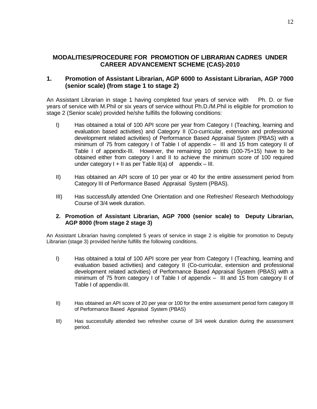### **MODALITIES/PROCEDURE FOR PROMOTION OF LIBRARIAN CADRES UNDER CAREER ADVANCEMENT SCHEME (CAS)-2010**

#### **1. Promotion of Assistant Librarian, AGP 6000 to Assistant Librarian, AGP 7000 (senior scale) (from stage 1 to stage 2)**

An Assistant Librarian in stage 1 having completed four years of service with Ph. D. or five years of service with M.Phil or six years of service without Ph.D./M.Phil is eligible for promotion to stage 2 (Senior scale) provided he/she fulfills the following conditions:

- I) Has obtained a total of 100 API score per year from Category I (Teaching, learning and evaluation based activities) and Category II (Co-curricular, extension and professional development related activities) of Performance Based Appraisal System (PBAS) with a minimum of 75 from category I of Table I of appendix – III and 15 from category II of Table I of appendix-III. However, the remaining 10 points (100-75+15) have to be obtained either from category I and II to achieve the minimum score of 100 required under category  $I + II$  as per Table  $II(a)$  of appendix – III.
- II) Has obtained an API score of 10 per year or 40 for the entire assessment period from Category III of Performance Based Appraisal System (PBAS).
- III) Has successfully attended One Orientation and one Refresher/ Research Methodology Course of 3/4 week duration.

#### **2. Promotion of Assistant Librarian, AGP 7000 (senior scale) to Deputy Librarian, AGP 8000 (from stage 2 stage 3)**

An Assistant Librarian having completed 5 years of service in stage 2 is eligible for promotion to Deputy Librarian (stage 3) provided he/she fulfills the following conditions.

- I) Has obtained a total of 100 API score per year from Category I (Teaching, learning and evaluation based activities) and category II (Co-curricular, extension and professional development related activities) of Performance Based Appraisal System (PBAS) with a minimum of 75 from category I of Table I of appendix – III and 15 from category II of Table I of appendix-III.
- II) Has obtained an API score of 20 per year or 100 for the entire assessment period form category III of Performance Based Appraisal System (PBAS)
- III) Has successfully attended two refresher course of 3/4 week duration during the assessment period.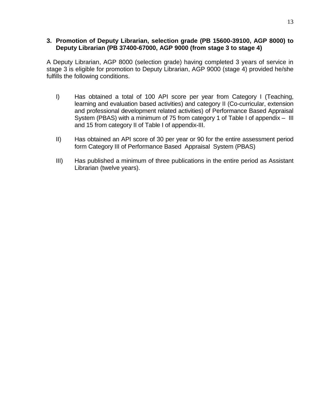#### **3. Promotion of Deputy Librarian, selection grade (PB 15600-39100, AGP 8000) to Deputy Librarian (PB 37400-67000, AGP 9000 (from stage 3 to stage 4)**

A Deputy Librarian, AGP 8000 (selection grade) having completed 3 years of service in stage 3 is eligible for promotion to Deputy Librarian, AGP 9000 (stage 4) provided he/she fulfills the following conditions.

- I) Has obtained a total of 100 API score per year from Category I (Teaching, learning and evaluation based activities) and category II (Co-curricular, extension and professional development related activities) of Performance Based Appraisal System (PBAS) with a minimum of 75 from category 1 of Table I of appendix – III and 15 from category II of Table I of appendix-III.
- II) Has obtained an API score of 30 per year or 90 for the entire assessment period form Category III of Performance Based Appraisal System (PBAS)
- III) Has published a minimum of three publications in the entire period as Assistant Librarian (twelve years).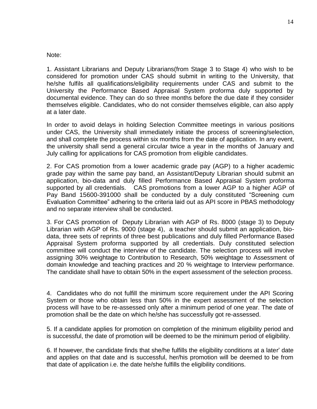#### Note:

1. Assistant Librarians and Deputy Librarians(from Stage 3 to Stage 4) who wish to be considered for promotion under CAS should submit in writing to the University, that he/she fulfils all qualifications/eligibility requirements under CAS and submit to the University the Performance Based Appraisal System proforma duly supported by documental evidence. They can do so three months before the due date if they consider themselves eligible. Candidates, who do not consider themselves eligible, can also apply at a later date.

In order to avoid delays in holding Selection Committee meetings in various positions under CAS, the University shall immediately initiate the process of screening/selection, and shall complete the process within six months from the date of application. In any event, the university shall send a general circular twice a year in the months of January and July calling for applications for CAS promotion from eligible candidates.

2. For CAS promotion from a lower academic grade pay (AGP) to a higher academic grade pay within the same pay band, an Assistant/Deputy Librarian should submit an application, bio-data and duly filled Performance Based Appraisal System proforma supported by all credentials. CAS promotions from a lower AGP to a higher AGP of Pay Band 15600-391000 shall be conducted by a duly constituted "Screening cum Evaluation Committee" adhering to the criteria laid out as API score in PBAS methodology and no separate interview shall be conducted.

3. For CAS promotion of Deputy Librarian with AGP of Rs. 8000 (stage 3) to Deputy Librarian with AGP of Rs. 9000 (stage 4), a teacher should submit an application, biodata, three sets of reprints of three best publications and duly filled Performance Based Appraisal System proforma supported by all credentials. Duly constituted selection committee will conduct the interview of the candidate. The selection process will involve assigning 30% weightage to Contribution to Research, 50% weightage to Assessment of domain knowledge and teaching practices and 20 % weightage to Interview performance. The candidate shall have to obtain 50% in the expert assessment of the selection process.

4. Candidates who do not fulfill the minimum score requirement under the API Scoring System or those who obtain less than 50% in the expert assessment of the selection process will have to be re-assessed only after a minimum period of one year. The date of promotion shall be the date on which he/she has successfully got re-assessed.

5. If a candidate applies for promotion on completion of the minimum eligibility period and is successful, the date of promotion will be deemed to be the minimum period of eligibility.

6. If however, the candidate finds that she/he fulfills the eligibility conditions at a later" date and applies on that date and is successful, her/his promotion will be deemed to be from that date of application i.e. the date he/she fulfills the eligibility conditions.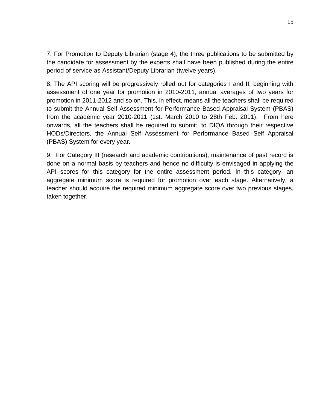7. For Promotion to Deputy Librarian (stage 4), the three publications to be submitted by the candidate for assessment by the experts shall have been published during the entire period of service as Assistant/Deputy Librarian (twelve years).

8. The API scoring will be progressively rolled out for categories I and II, beginning with assessment of one year for promotion in 2010-2011, annual averages of two years for promotion in 2011-2012 and so on. This, in effect, means all the teachers shall be required to submit the Annual Self Assessment for Performance Based Appraisal System (PBAS) from the academic year 2010-2011 (1st. March 2010 to 28th Feb. 2011). From here onwards, all the teachers shall be required to submit, to DIQA through their respective HODs/Directors, the Annual Self Assessment for Performance Based Self Appraisal (PBAS) System for every year.

9. For Category III (research and academic contributions), maintenance of past record is done on a normal basis by teachers and hence no difficulty is envisaged in applying the API scores for this category for the entire assessment period. In this category, an aggregate minimum score is required for promotion over each stage. Alternatively, a teacher should acquire the required minimum aggregate score over two previous stages, taken together.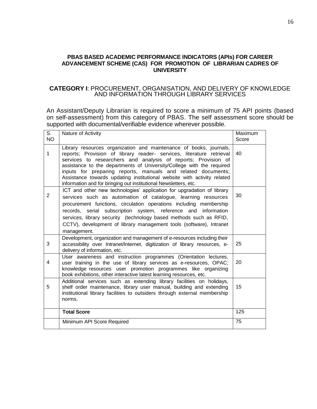#### **PBAS BASED ACADEMIC PERFORMANCE INDICATORS (APIs) FOR CAREER ADVANCEMENT SCHEME (CAS) FOR PROMOTION OF LIBRARIAN CADRES OF UNIVERSITY**

#### **CATEGORY I**: PROCUREMENT, ORGANISATION, AND DELIVERY OF KNOWLEDGE AND INFORMATION THROUGH LIBRARY SERVICES

An Assistant/Deputy Librarian is required to score a minimum of 75 API points (based on self-assessment) from this category of PBAS. The self assessment score should be supported with documental/verifiable evidence wherever possible.

| S.<br>NO.      | Nature of Activity                                                                                                                                                                                                                                                                                                                                                                                                                                                                                  | Maximum<br>Score |
|----------------|-----------------------------------------------------------------------------------------------------------------------------------------------------------------------------------------------------------------------------------------------------------------------------------------------------------------------------------------------------------------------------------------------------------------------------------------------------------------------------------------------------|------------------|
| 1              | Library resources organization and maintenance of books, journals,<br>reports; Provision of library reader- services, literature retrieval<br>services to researchers and analysis of reports; Provision of<br>assistance to the departments of University/College with the required<br>inputs for preparing reports, manuals and related documents;<br>Assistance towards updating institutional website with activity related<br>information and for bringing out institutional Newsletters, etc. | 40               |
| $\overline{2}$ | ICT and other new technologies' application for upgradation of library<br>services such as automation of catalogue, learning resources<br>procurement functions, circulation operations including membership<br>records, serial subscription system, reference and information<br>services, library security (technology based methods such as RFID,<br>CCTV), development of library management tools (software), Intranet<br>management.                                                          | 30               |
| 3              | Development, organization and management of e-resources including their<br>accessibility over Intranet/Internet, digitization of library resources, e-<br>delivery of information, etc.                                                                                                                                                                                                                                                                                                             | 25               |
| 4              | User awareness and instruction programmes (Orientation lectures,<br>user training in the use of library services as e-resources, OPAC;<br>knowledge resources user promotion programmes like organizing<br>book exhibitions, other interactive latest learning resources, etc.                                                                                                                                                                                                                      | 20               |
| 5              | Additional services such as extending library facilities on holidays,<br>shelf order maintenance, library user manual, building and extending<br>institutional library facilities to outsiders through external membership<br>norms.                                                                                                                                                                                                                                                                | 15               |
|                | <b>Total Score</b>                                                                                                                                                                                                                                                                                                                                                                                                                                                                                  | 125              |
|                | Minimum API Score Required                                                                                                                                                                                                                                                                                                                                                                                                                                                                          | 75               |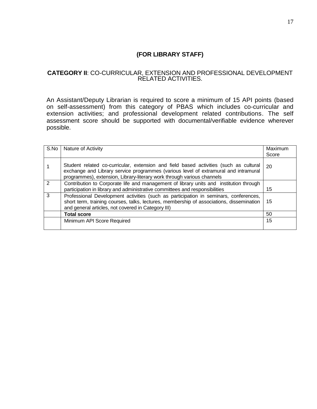## **(FOR LIBRARY STAFF)**

#### **CATEGORY II**: CO-CURRICULAR, EXTENSION AND PROFESSIONAL DEVELOPMENT RELATED ACTIVITIES.

An Assistant/Deputy Librarian is required to score a minimum of 15 API points (based on self-assessment) from this category of PBAS which includes co-curricular and extension activities; and professional development related contributions. The self assessment score should be supported with documental/verifiable evidence wherever possible.

| S.No          | Nature of Activity                                                                                                                                                                                                                                     | Maximum |
|---------------|--------------------------------------------------------------------------------------------------------------------------------------------------------------------------------------------------------------------------------------------------------|---------|
|               |                                                                                                                                                                                                                                                        | Score   |
|               | Student related co-curricular, extension and field based activities (such as cultural<br>exchange and Library service programmes (various level of extramural and intramural<br>programmes), extension, Library-literary work through various channels | 20      |
| $\mathcal{P}$ | Contribution to Corporate life and management of library units and institution through<br>participation in library and administrative committees and responsibilities                                                                                  | 15      |
| 3             | Professional Development activities (such as participation in seminars, conferences,<br>short term, training courses, talks, lectures, membership of associations, dissemination<br>and general articles, not covered in Category III)                 | 15      |
|               | <b>Total score</b>                                                                                                                                                                                                                                     | 50      |
|               | Minimum API Score Required                                                                                                                                                                                                                             | 15      |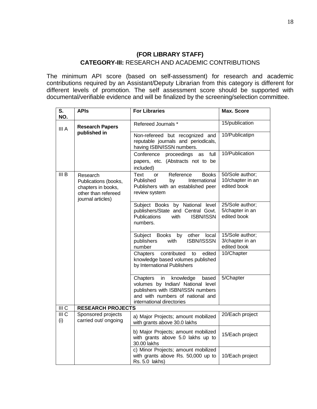### **(FOR LIBRARY STAFF)**

### **CATEGORY-III:** RESEARCH AND ACADEMIC CONTRIBUTIONS

The minimum API score (based on self-assessment) for research and academic contributions required by an Assistant/Deputy Librarian from this category is different for different levels of promotion. The self assessment score should be supported with documental/verifiable evidence and will be finalized by the screening/selection committee.

| $\overline{\mathsf{s}}$ .<br>NO. | <b>APIs</b>                                                                                        | <b>For Libraries</b>                                                                                                                                                            | <b>Max. Score</b>                                  |
|----------------------------------|----------------------------------------------------------------------------------------------------|---------------------------------------------------------------------------------------------------------------------------------------------------------------------------------|----------------------------------------------------|
| III A                            | <b>Research Papers</b>                                                                             | Refereed Journals *                                                                                                                                                             | 15/publication                                     |
|                                  | published in                                                                                       | Non-refereed but recognized and<br>reputable journals and periodicals,<br>having ISBN/ISSN numbers.                                                                             | 10/Publicatipn                                     |
|                                  |                                                                                                    | Conference<br>proceedings as<br>full<br>papers, etc. (Abstracts not to be<br>included)                                                                                          | 10/Publication                                     |
| III B                            | Research<br>Publications (books,<br>chapters in books,<br>other than refereed<br>journal articles) | Reference<br><b>Books</b><br>Text<br><b>or</b><br>Published<br>International<br>by<br>Publishers with an established peer<br>review system                                      | 50/Sole author;<br>10/chapter in an<br>edited book |
|                                  |                                                                                                    | Subject Books by National level<br>publishers/State and Central Govt.<br><b>Publications</b><br>with<br><b>ISBN/ISSN</b><br>numbers.                                            | 25/Sole author;<br>5/chapter in an<br>edited book  |
|                                  |                                                                                                    | Subject Books by<br>other<br>local<br>publishers<br><b>ISBN/ISSSN</b><br>with<br>number                                                                                         | 15/Sole author;<br>3/chapter in an<br>edited book  |
|                                  |                                                                                                    | contributed<br>edited<br>Chapters<br>to<br>knowledge based volumes published<br>by International Publishers                                                                     | 10/Chapter                                         |
|                                  |                                                                                                    | knowledge<br>Chapters<br>in<br>based<br>volumes by Indian/ National level<br>publishers with ISBN/ISSN numbers<br>and with numbers of national and<br>international directories | 5/Chapter                                          |
| III <sub>C</sub>                 | <b>RESEARCH PROJECTS</b>                                                                           |                                                                                                                                                                                 |                                                    |
| $\overline{III}$ C<br>(i)        | Sponsored projects<br>carried out/ ongoing                                                         | a) Major Projects; amount mobilized<br>with grants above 30.0 lakhs                                                                                                             | 20/Each project                                    |
|                                  |                                                                                                    | b) Major Projects; amount mobilized<br>with grants above 5.0 lakhs up to<br>30.00 lakhs                                                                                         | 15/Each project                                    |
|                                  |                                                                                                    | c) Minor Projects; amount mobilized<br>with grants above Rs. 50,000 up to<br>Rs. 5.0 lakhs)                                                                                     | 10/Each project                                    |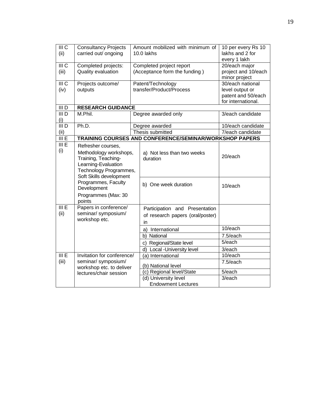| III <sub>C</sub>   | <b>Consultancy Projects</b>                    |                                                           | Amount mobilized with minimum of                        | 10 per every Rs 10                   |
|--------------------|------------------------------------------------|-----------------------------------------------------------|---------------------------------------------------------|--------------------------------------|
| (ii)               | carried out/ ongoing                           |                                                           | 10.0 lakhs                                              | lakhs and 2 for                      |
| III <sub>C</sub>   |                                                |                                                           |                                                         | every 1 lakh                         |
| (iii)              | Completed projects:<br>Quality evaluation      | Completed project report<br>(Acceptance form the funding) |                                                         | 20/each major<br>project and 10/each |
|                    |                                                |                                                           |                                                         | minor project                        |
| $\overline{III}$ C | Projects outcome/                              |                                                           | Patent/Technology                                       | 30/each national                     |
| (iv)               | outputs                                        |                                                           | transfer/Product/Process                                | level output or                      |
|                    |                                                |                                                           |                                                         | patent and 50/each                   |
|                    |                                                |                                                           |                                                         | for international.                   |
| $\overline{III}$ D | <b>RESEARCH GUIDANCE</b>                       |                                                           |                                                         |                                      |
| III <sub>D</sub>   | M.Phil.                                        |                                                           | Degree awarded only                                     | 3/each candidate                     |
| (i)                |                                                |                                                           |                                                         |                                      |
| III D              | Ph.D.                                          |                                                           | Degree awarded                                          | 10/each candidate                    |
| (ii)               |                                                |                                                           | Thesis submitted                                        | 7/each candidate                     |
| III E              |                                                |                                                           | TRAINING COURSES AND CONFERENCE/SEMINAR/WORKSHOP PAPERS |                                      |
| III E              | Refresher courses,                             |                                                           |                                                         |                                      |
| (i)                | Methodology workshops,                         |                                                           | a) Not less than two weeks                              | 20/each                              |
|                    | Training, Teaching-                            |                                                           | duration                                                |                                      |
|                    | Learning-Evaluation                            |                                                           |                                                         |                                      |
|                    | Technology Programmes,                         |                                                           |                                                         |                                      |
|                    | Soft Skills development<br>Programmes, Faculty |                                                           |                                                         |                                      |
|                    | Development                                    |                                                           | b) One week duration                                    | 10/each                              |
|                    | Programmes (Max: 30                            |                                                           |                                                         |                                      |
|                    | points                                         |                                                           |                                                         |                                      |
| III E              | Papers in conference/                          |                                                           | Participation and Presentation                          |                                      |
| (ii)               | seminar/ symposium/                            |                                                           | of research papers (oral/poster)                        |                                      |
|                    | workshop etc.                                  |                                                           | in                                                      |                                      |
|                    |                                                |                                                           | International<br>a)                                     | 10/each                              |
|                    |                                                |                                                           | National<br>b)                                          | 7.5/each                             |
|                    |                                                |                                                           | c) Regional/State level                                 | $5$ /each                            |
|                    |                                                |                                                           | d) Local -University level                              | 3/each                               |
| III E              | Invitation for conference/                     |                                                           | (a) International                                       | 10/each                              |
| (iii)              | seminar/ symposium/                            |                                                           |                                                         | 7.5/each                             |
|                    | workshop etc. to deliver                       |                                                           | (b) National level                                      |                                      |
|                    | lectures/chair session                         |                                                           | (c) Regional level/State                                | 5/each                               |
|                    |                                                |                                                           | (d) University level                                    | $3$ /each                            |
|                    |                                                |                                                           | <b>Endowment Lectures</b>                               |                                      |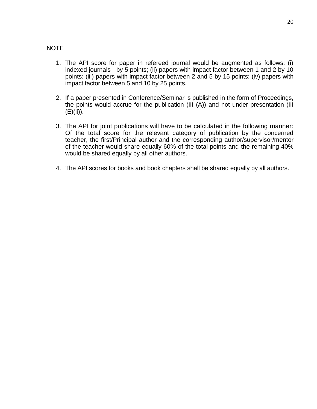## NOTE

- 1. The API score for paper in refereed journal would be augmented as follows: (i) indexed journals - by 5 points; (ii) papers with impact factor between 1 and 2 by 10 points; (iii) papers with impact factor between 2 and 5 by 15 points; (iv) papers with impact factor between 5 and 10 by 25 points.
- 2. If a paper presented in Conference/Seminar is published in the form of Proceedings, the points would accrue for the publication (III (A)) and not under presentation (III (E)(ii)).
- 3. The API for joint publications will have to be calculated in the following manner: Of the total score for the relevant category of publication by the concerned teacher, the first/Principal author and the corresponding author/supervisor/mentor of the teacher would share equally 60% of the total points and the remaining 40% would be shared equally by all other authors.
- 4. The API scores for books and book chapters shall be shared equally by all authors.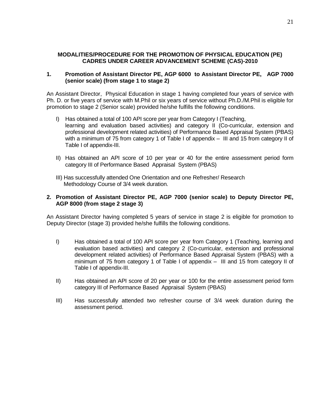#### **MODALITIES/PROCEDURE FOR THE PROMOTION OF PHYSICAL EDUCATION (PE) CADRES UNDER CAREER ADVANCEMENT SCHEME (CAS)-2010**

#### **1. Promotion of Assistant Director PE, AGP 6000 to Assistant Director PE, AGP 7000 (senior scale) (from stage 1 to stage 2)**

An Assistant Director, Physical Education in stage 1 having completed four years of service with Ph. D. or five years of service with M.Phil or six years of service without Ph.D./M.Phil is eligible for promotion to stage 2 (Senior scale) provided he/she fulfills the following conditions.

- I) Has obtained a total of 100 API score per year from Category I (Teaching, learning and evaluation based activities) and category II (Co-curricular, extension and professional development related activities) of Performance Based Appraisal System (PBAS) with a minimum of 75 from category 1 of Table I of appendix – III and 15 from category II of Table I of appendix-III.
- II) Has obtained an API score of 10 per year or 40 for the entire assessment period form category III of Performance Based Appraisal System (PBAS)
- III) Has successfully attended One Orientation and one Refresher/ Research Methodology Course of 3/4 week duration.

#### **2. Promotion of Assistant Director PE, AGP 7000 (senior scale) to Deputy Director PE, AGP 8000 (from stage 2 stage 3)**

An Assistant Director having completed 5 years of service in stage 2 is eligible for promotion to Deputy Director (stage 3) provided he/she fulfills the following conditions.

- I) Has obtained a total of 100 API score per year from Category 1 (Teaching, learning and evaluation based activities) and category 2 (Co-curricular, extension and professional development related activities) of Performance Based Appraisal System (PBAS) with a minimum of 75 from category 1 of Table I of appendix – III and 15 from category II of Table I of appendix-III.
- II) Has obtained an API score of 20 per year or 100 for the entire assessment period form category III of Performance Based Appraisal System (PBAS)
- III) Has successfully attended two refresher course of 3/4 week duration during the assessment period.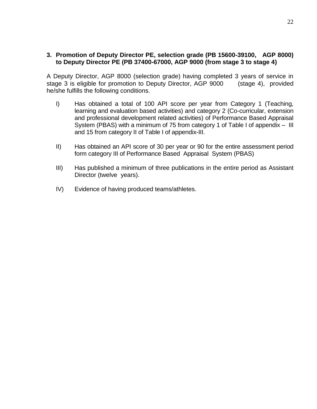### **3. Promotion of Deputy Director PE, selection grade (PB 15600-39100, AGP 8000) to Deputy Director PE (PB 37400-67000, AGP 9000 (from stage 3 to stage 4)**

A Deputy Director, AGP 8000 (selection grade) having completed 3 years of service in stage 3 is eligible for promotion to Deputy Director, AGP 9000 (stage 4), provided he/she fulfills the following conditions.

- I) Has obtained a total of 100 API score per year from Category 1 (Teaching, learning and evaluation based activities) and category 2 (Co-curricular, extension and professional development related activities) of Performance Based Appraisal System (PBAS) with a minimum of 75 from category 1 of Table I of appendix – III and 15 from category II of Table I of appendix-III.
- II) Has obtained an API score of 30 per year or 90 for the entire assessment period form category III of Performance Based Appraisal System (PBAS)
- III) Has published a minimum of three publications in the entire period as Assistant Director (twelve years).
- IV) Evidence of having produced teams/athletes.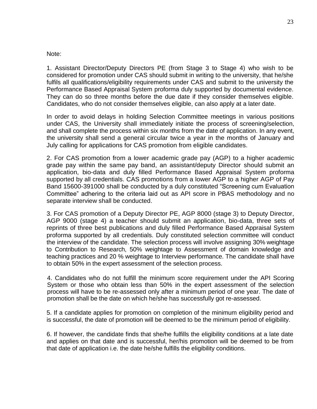#### Note:

1. Assistant Director/Deputy Directors PE (from Stage 3 to Stage 4) who wish to be considered for promotion under CAS should submit in writing to the university, that he/she fulfils all qualifications/eligibility requirements under CAS and submit to the university the Performance Based Appraisal System proforma duly supported by documental evidence. They can do so three months before the due date if they consider themselves eligible. Candidates, who do not consider themselves eligible, can also apply at a later date.

In order to avoid delays in holding Selection Committee meetings in various positions under CAS, the University shall immediately initiate the process of screening/selection, and shall complete the process within six months from the date of application. In any event, the university shall send a general circular twice a year in the months of January and July calling for applications for CAS promotion from eligible candidates.

2. For CAS promotion from a lower academic grade pay (AGP) to a higher academic grade pay within the same pay band, an assistant/deputy Director should submit an application, bio-data and duly filled Performance Based Appraisal System proforma supported by all credentials. CAS promotions from a lower AGP to a higher AGP of Pay Band 15600-391000 shall be conducted by a duly constituted "Screening cum Evaluation Committee" adhering to the criteria laid out as API score in PBAS methodology and no separate interview shall be conducted.

3. For CAS promotion of a Deputy Director PE, AGP 8000 (stage 3) to Deputy Director, AGP 9000 (stage 4) a teacher should submit an application, bio-data, three sets of reprints of three best publications and duly filled Performance Based Appraisal System proforma supported by all credentials. Duly constituted selection committee will conduct the interview of the candidate. The selection process will involve assigning 30% weightage to Contribution to Research, 50% weightage to Assessment of domain knowledge and teaching practices and 20 % weightage to Interview performance. The candidate shall have to obtain 50% in the expert assessment of the selection process.

4. Candidates who do not fulfill the minimum score requirement under the API Scoring System or those who obtain less than 50% in the expert assessment of the selection process will have to be re-assessed only after a minimum period of one year. The date of promotion shall be the date on which he/she has successfully got re-assessed.

5. If a candidate applies for promotion on completion of the minimum eligibility period and is successful, the date of promotion will be deemed to be the minimum period of eligibility.

6. If however, the candidate finds that she/he fulfills the eligibility conditions at a late date and applies on that date and is successful, her/his promotion will be deemed to be from that date of application i.e. the date he/she fulfills the eligibility conditions.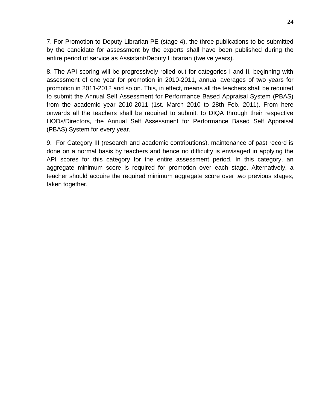7. For Promotion to Deputy Librarian PE (stage 4), the three publications to be submitted by the candidate for assessment by the experts shall have been published during the entire period of service as Assistant/Deputy Librarian (twelve years).

8. The API scoring will be progressively rolled out for categories I and II, beginning with assessment of one year for promotion in 2010-2011, annual averages of two years for promotion in 2011-2012 and so on. This, in effect, means all the teachers shall be required to submit the Annual Self Assessment for Performance Based Appraisal System (PBAS) from the academic year 2010-2011 (1st. March 2010 to 28th Feb. 2011). From here onwards all the teachers shall be required to submit, to DIQA through their respective HODs/Directors, the Annual Self Assessment for Performance Based Self Appraisal (PBAS) System for every year.

9. For Category III (research and academic contributions), maintenance of past record is done on a normal basis by teachers and hence no difficulty is envisaged in applying the API scores for this category for the entire assessment period. In this category, an aggregate minimum score is required for promotion over each stage. Alternatively, a teacher should acquire the required minimum aggregate score over two previous stages, taken together.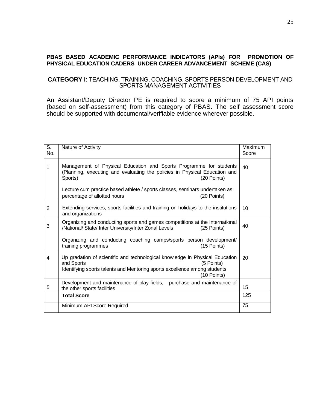#### **PBAS BASED ACADEMIC PERFORMANCE INDICATORS (APIs) FOR PROMOTION OF PHYSICAL EDUCATION CADERS UNDER CAREER ADVANCEMENT SCHEME (CAS)**

#### **CATEGORY I**: TEACHING, TRAINING, COACHING, SPORTS PERSON DEVELOPMENT AND SPORTS MANAGEMENT ACTIVITIES

An Assistant/Deputy Director PE is required to score a minimum of 75 API points (based on self-assessment) from this category of PBAS. The self assessment score should be supported with documental/verifiable evidence wherever possible.

| S.<br>No. | Nature of Activity                                                                                                                                                                                   | Maximum<br>Score |
|-----------|------------------------------------------------------------------------------------------------------------------------------------------------------------------------------------------------------|------------------|
| 1         | Management of Physical Education and Sports Programme for students<br>(Planning, executing and evaluating the policies in Physical Education and<br>Sports)<br>(20 Points)                           | 40               |
|           | Lecture cum practice based athlete / sports classes, seminars undertaken as<br>percentage of allotted hours<br>(20 Points)                                                                           |                  |
| 2         | Extending services, sports facilities and training on holidays to the institutions<br>and organizations                                                                                              | 10               |
| 3         | Organizing and conducting sports and games competitions at the International<br>/National/ State/ Inter University/Inter Zonal Levels<br>(25 Points)                                                 | 40               |
|           | Organizing and conducting coaching camps/sports person development/<br>training programmes<br>(15 Points)                                                                                            |                  |
| 4         | Up gradation of scientific and technological knowledge in Physical Education<br>and Sports<br>(5 Points)<br>Identifying sports talents and Mentoring sports excellence among students<br>(10 Points) | 20               |
| 5         | Development and maintenance of play fields, purchase and maintenance of<br>the other sports facilities                                                                                               | 15               |
|           | <b>Total Score</b>                                                                                                                                                                                   | 125              |
|           | Minimum API Score Required                                                                                                                                                                           | 75               |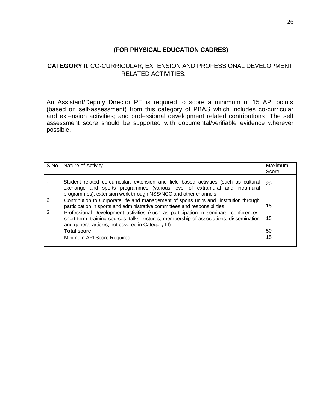## **(FOR PHYSICAL EDUCATION CADRES)**

## **CATEGORY II**: CO-CURRICULAR, EXTENSION AND PROFESSIONAL DEVELOPMENT RELATED ACTIVITIES.

An Assistant/Deputy Director PE is required to score a minimum of 15 API points (based on self-assessment) from this category of PBAS which includes co-curricular and extension activities; and professional development related contributions. The self assessment score should be supported with documental/verifiable evidence wherever possible.

| S.No | Nature of Activity                                                                                                                                                                                                                     | Maximum<br>Score |
|------|----------------------------------------------------------------------------------------------------------------------------------------------------------------------------------------------------------------------------------------|------------------|
|      | Student related co-curricular, extension and field based activities (such as cultural<br>exchange and sports programmes (various level of extramural and intramural<br>programmes), extension work through NSS/NCC and other channels, | 20               |
| 2    | Contribution to Corporate life and management of sports units and institution through<br>participation in sports and administrative committees and responsibilities                                                                    | 15               |
| 3    | Professional Development activities (such as participation in seminars, conferences,<br>short term, training courses, talks, lectures, membership of associations, dissemination<br>and general articles, not covered in Category III) | 15               |
|      | <b>Total score</b>                                                                                                                                                                                                                     | 50               |
|      | Minimum API Score Required                                                                                                                                                                                                             | 15               |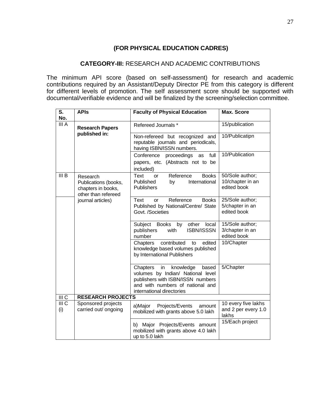## **(FOR PHYSICAL EDUCATION CADRES)**

### **CATEGORY-III:** RESEARCH AND ACADEMIC CONTRIBUTIONS

The minimum API score (based on self-assessment) for research and academic contributions required by an Assistant/Deputy Director PE from this category is different for different levels of promotion. The self assessment score should be supported with documental/verifiable evidence and will be finalized by the screening/selection committee.

| S.<br>No.                 | <b>APIs</b>                                                                   | <b>Faculty of Physical Education</b>                                                                                                                                            | <b>Max. Score</b>                                   |
|---------------------------|-------------------------------------------------------------------------------|---------------------------------------------------------------------------------------------------------------------------------------------------------------------------------|-----------------------------------------------------|
| III A                     | <b>Research Papers</b>                                                        | Refereed Journals *                                                                                                                                                             | 15/publication                                      |
|                           | published in:                                                                 | Non-refereed but recognized and<br>reputable journals and periodicals,<br>having ISBN/ISSN numbers.                                                                             | 10/Publicatipn                                      |
|                           |                                                                               | Conference<br>full<br>proceedings<br>as<br>papers, etc. (Abstracts not to be<br>included)                                                                                       | 10/Publication                                      |
| III <sub>B</sub>          | Research<br>Publications (books,<br>chapters in books,<br>other than refereed | Reference<br><b>Books</b><br>Text<br><b>or</b><br>Published<br>International<br>by<br><b>Publishers</b>                                                                         | 50/Sole author;<br>10/chapter in an<br>edited book  |
|                           | journal articles)                                                             | Reference<br><b>Books</b><br>Text<br>or<br>Published by National/Centre/ State<br>Govt. /Societies                                                                              | 25/Sole author;<br>5/chapter in an<br>edited book   |
|                           |                                                                               | Subject Books by other<br>local<br><b>ISBN/ISSSN</b><br>publishers<br>with<br>number                                                                                            | 15/Sole author;<br>3/chapter in an<br>edited book   |
|                           |                                                                               | contributed<br>edited<br>Chapters<br>to<br>knowledge based volumes published<br>by International Publishers                                                                     | 10/Chapter                                          |
|                           |                                                                               | in<br>Chapters<br>knowledge<br>based<br>volumes by Indian/ National level<br>publishers with ISBN/ISSN numbers<br>and with numbers of national and<br>international directories | 5/Chapter                                           |
| III <sub>C</sub>          | <b>RESEARCH PROJECTS</b>                                                      |                                                                                                                                                                                 |                                                     |
| $\overline{III}$ C<br>(i) | Sponsored projects<br>carried out/ ongoing                                    | a)Major Projects/Events<br>amount<br>mobilized with grants above 5.0 lakh                                                                                                       | 10 every five lakhs<br>and 2 per every 1.0<br>lakhs |
|                           |                                                                               | b) Major Projects/Events amount<br>mobilized with grants above 4.0 lakh<br>up to 5.0 lakh                                                                                       | 15/Each project                                     |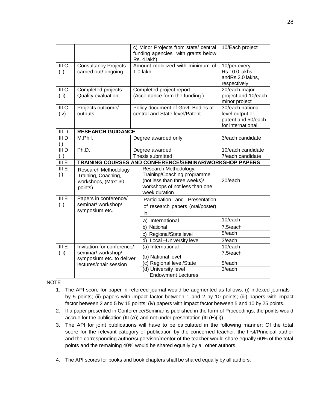|                             |                                                         | c) Minor Projects from state/ central<br>funding agencies with grants below<br>Rs. 4 lakh) | 10/Each project                          |  |  |  |  |
|-----------------------------|---------------------------------------------------------|--------------------------------------------------------------------------------------------|------------------------------------------|--|--|--|--|
| III <sub>C</sub>            | <b>Consultancy Projects</b>                             | Amount mobilized with minimum of                                                           | 10/per every                             |  |  |  |  |
| (ii)                        | carried out/ ongoing                                    | 1.0 lakh                                                                                   | Rs.10.0 lakhs                            |  |  |  |  |
|                             |                                                         |                                                                                            | andRs.2.0 lakhs,<br>respectively         |  |  |  |  |
| III <sub>C</sub>            | Completed projects:                                     | Completed project report                                                                   | 20/each major                            |  |  |  |  |
| (iii)                       | Quality evaluation                                      | (Acceptance form the funding)                                                              | project and 10/each                      |  |  |  |  |
|                             |                                                         |                                                                                            | minor project                            |  |  |  |  |
| $\overline{III}$ C          | Projects outcome/                                       | Policy document of Govt. Bodies at                                                         | 30/each national                         |  |  |  |  |
| (iv)                        | outputs                                                 | central and State level/Patent                                                             | level output or                          |  |  |  |  |
|                             |                                                         |                                                                                            | patent and 50/each<br>for international. |  |  |  |  |
| $\overline{III}$ D          | <b>RESEARCH GUIDANCE</b>                                |                                                                                            |                                          |  |  |  |  |
| $\overline{\mathsf{III}}$ D | M.Phil.                                                 | Degree awarded only                                                                        | 3/each candidate                         |  |  |  |  |
| (i)                         |                                                         |                                                                                            |                                          |  |  |  |  |
| $\overline{\mathsf{III}}$ D | Ph.D.                                                   | Degree awarded                                                                             | 10/each candidate                        |  |  |  |  |
| (ii)                        |                                                         | Thesis submitted                                                                           | 7/each candidate                         |  |  |  |  |
| III E                       | TRAINING COURSES AND CONFERENCE/SEMINAR/WORKSHOP PAPERS |                                                                                            |                                          |  |  |  |  |
| III E                       | Research Methodology,                                   | Research Methodology,                                                                      |                                          |  |  |  |  |
| (i)                         | Training, Coaching,                                     | Training/Coaching programme                                                                |                                          |  |  |  |  |
|                             | workshops, (Max: 30                                     | (not less than three weeks)/<br>workshops of not less than one                             | 20/each                                  |  |  |  |  |
|                             | points)                                                 | week duration                                                                              |                                          |  |  |  |  |
| III E                       | Papers in conference/                                   | Participation and Presentation                                                             |                                          |  |  |  |  |
| (ii)                        | seminar/ workshop/                                      | of research papers (oral/poster)                                                           |                                          |  |  |  |  |
|                             | symposium etc.                                          | in                                                                                         |                                          |  |  |  |  |
|                             |                                                         | International<br>a)                                                                        | 10/each                                  |  |  |  |  |
|                             |                                                         | National<br>b)                                                                             | 7.5/each                                 |  |  |  |  |
|                             |                                                         | c) Regional/State level                                                                    | 5/each                                   |  |  |  |  |
|                             |                                                         | d) Local - University level                                                                | 3/each                                   |  |  |  |  |
| III E                       | Invitation for conference/                              | (a) International                                                                          | 10/each                                  |  |  |  |  |
| (iii)                       | seminar/ workshop/<br>symposium etc. to deliver         | (b) National level                                                                         | 7.5/each                                 |  |  |  |  |
|                             | lectures/chair session                                  | (c) Regional level/State                                                                   | 5/each                                   |  |  |  |  |
|                             |                                                         | (d) University level                                                                       | 3/each                                   |  |  |  |  |
|                             |                                                         | <b>Endowment Lectures</b>                                                                  |                                          |  |  |  |  |

NOTE

- 1. The API score for paper in refereed journal would be augmented as follows: (i) indexed journals by 5 points; (ii) papers with impact factor between 1 and 2 by 10 points; (iii) papers with impact factor between 2 and 5 by 15 points; (iv) papers with impact factor between 5 and 10 by 25 points.
- 2. If a paper presented in Conference/Seminar is published in the form of Proceedings, the points would accrue for the publication (III (A)) and not under presentation (III  $(E)(ii)$ ).
- 3. The API for joint publications will have to be calculated in the following manner: Of the total score for the relevant category of publication by the concerned teacher, the first/Principal author and the corresponding author/supervisor/mentor of the teacher would share equally 60% of the total points and the remaining 40% would be shared equally by all other authors.
- 4. The API scores for books and book chapters shall be shared equally by all authors.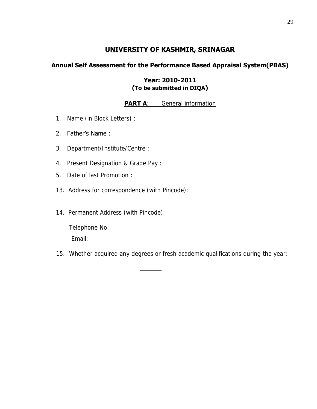# **UNIVERSITY OF KASHMIR, SRINAGAR**

## **Annual Self Assessment for the Performance Based Appraisal System(PBAS)**

## **Year: 2010-2011 (To be submitted in DIQA)**

## **PART A:** General information

1. Name (in Block Letters) :

## 2. Father's Name :

- 3. Department/Institute/Centre :
- 4. Present Designation & Grade Pay :
- 5. Date of last Promotion :
- 13. Address for correspondence (with Pincode):
- 14. Permanent Address (with Pincode):

\_\_\_\_\_\_\_

 Telephone No: Email:

15. Whether acquired any degrees or fresh academic qualifications during the year: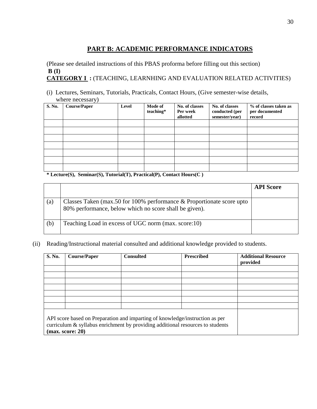# **PART B: ACADEMIC PERFORMANCE INDICATORS**

(Please see detailed instructions of this PBAS proforma before filling out this section)  **B (I) CATEGORY I :** (TEACHING, LEARNHING AND EVALUATION RELATED ACTIVITIES)

(i) Lectures, Seminars, Tutorials, Practicals, Contact Hours, (Give semester-wise details, where necessary)

|        | $\overline{\phantom{a}}$ |       |                      |                                        |                                                    |                                                   |
|--------|--------------------------|-------|----------------------|----------------------------------------|----------------------------------------------------|---------------------------------------------------|
| S. No. | <b>Course/Paper</b>      | Level | Mode of<br>teaching* | No. of classes<br>Per week<br>allotted | No. of classes<br>conducted (per<br>semester/year) | % of classes taken as<br>per documented<br>record |
|        |                          |       |                      |                                        |                                                    |                                                   |
|        |                          |       |                      |                                        |                                                    |                                                   |
|        |                          |       |                      |                                        |                                                    |                                                   |
|        |                          |       |                      |                                        |                                                    |                                                   |
|        |                          |       |                      |                                        |                                                    |                                                   |
|        |                          |       |                      |                                        |                                                    |                                                   |
|        |                          |       |                      |                                        |                                                    |                                                   |

#### **\* Lecture(S), Seminar(S), Tutorial(T), Practical(P), Contact Hours(C )**

|     |                                                                                                                                   | <b>API</b> Score |
|-----|-----------------------------------------------------------------------------------------------------------------------------------|------------------|
| (a) | Classes Taken (max.50 for 100% performance $&$ Proportionate score upto<br>80% performance, below which no score shall be given). |                  |
| (b) | Teaching Load in excess of UGC norm (max. score:10)                                                                               |                  |

(ii) Reading/Instructional material consulted and additional knowledge provided to students.

| S. No. | <b>Course/Paper</b> | <b>Consulted</b> | <b>Prescribed</b>                                                                                                                                                 | <b>Additional Resource</b><br>provided |
|--------|---------------------|------------------|-------------------------------------------------------------------------------------------------------------------------------------------------------------------|----------------------------------------|
|        |                     |                  |                                                                                                                                                                   |                                        |
|        |                     |                  |                                                                                                                                                                   |                                        |
|        |                     |                  |                                                                                                                                                                   |                                        |
|        |                     |                  |                                                                                                                                                                   |                                        |
|        |                     |                  |                                                                                                                                                                   |                                        |
|        |                     |                  |                                                                                                                                                                   |                                        |
|        | (max. score: 20)    |                  | API score based on Preparation and imparting of knowledge/instruction as per<br>curriculum $\&$ syllabus enrichment by providing additional resources to students |                                        |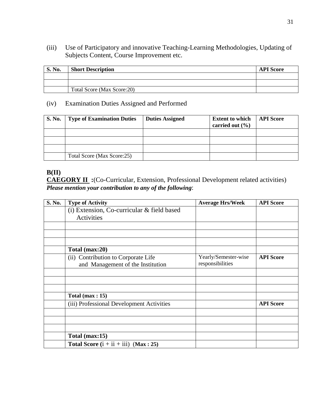(iii) Use of Participatory and innovative Teaching-Learning Methodologies, Updating of Subjects Content, Course Improvement etc.

| S. No. | <b>Short Description</b>   | <b>API</b> Score |
|--------|----------------------------|------------------|
|        |                            |                  |
|        |                            |                  |
|        | Total Score (Max Score:20) |                  |

## (iv) Examination Duties Assigned and Performed

| <b>S. No.</b> | <b>Type of Examination Duties</b> | <b>Duties Assigned</b> | <b>Extent to which</b><br>carried out $(\% )$ | <b>API Score</b> |
|---------------|-----------------------------------|------------------------|-----------------------------------------------|------------------|
|               |                                   |                        |                                               |                  |
|               |                                   |                        |                                               |                  |
|               |                                   |                        |                                               |                  |
|               | Total Score (Max Score:25)        |                        |                                               |                  |

## **B(II)**

**CAEGORY II :**(Co-Curricular, Extension, Professional Development related activities) *Please mention your contribution to any of the following*:

| S. No. | <b>Type of Activity</b>                    | <b>Average Hrs/Week</b> | <b>API</b> Score |
|--------|--------------------------------------------|-------------------------|------------------|
|        | (i) Extension, Co-curricular & field based |                         |                  |
|        | Activities                                 |                         |                  |
|        |                                            |                         |                  |
|        |                                            |                         |                  |
|        |                                            |                         |                  |
|        | Total (max:20)                             |                         |                  |
|        | (ii) Contribution to Corporate Life        | Yearly/Semester-wise    | <b>API Score</b> |
|        | and Management of the Institution          | responsibilities        |                  |
|        |                                            |                         |                  |
|        |                                            |                         |                  |
|        |                                            |                         |                  |
|        | Total $(max: 15)$                          |                         |                  |
|        | (iii) Professional Development Activities  |                         | <b>API Score</b> |
|        |                                            |                         |                  |
|        |                                            |                         |                  |
|        |                                            |                         |                  |
|        | Total (max:15)                             |                         |                  |
|        | Total Score $(i + ii + iii)$ (Max: 25)     |                         |                  |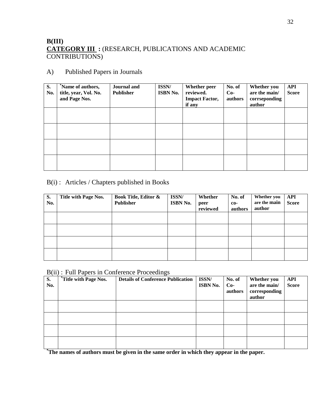## **B(III) CATEGORY III :** (RESEARCH, PUBLICATIONS AND ACADEMIC CONTRIBUTIONS)

## A) Published Papers in Journals

| S.<br>No. | Name of authors,<br>title, year, Vol. No.<br>and Page Nos. | Journal and<br><b>Publisher</b> | <b>ISSN/</b><br><b>ISBN No.</b> | Whether peer<br>reviewed.<br><b>Impact Factor,</b><br>if any | No. of<br>$Co-$<br>authors | Whether you<br>are the main/<br>corrseponding<br>author | <b>API</b><br><b>Score</b> |
|-----------|------------------------------------------------------------|---------------------------------|---------------------------------|--------------------------------------------------------------|----------------------------|---------------------------------------------------------|----------------------------|
|           |                                                            |                                 |                                 |                                                              |                            |                                                         |                            |
|           |                                                            |                                 |                                 |                                                              |                            |                                                         |                            |
|           |                                                            |                                 |                                 |                                                              |                            |                                                         |                            |
|           |                                                            |                                 |                                 |                                                              |                            |                                                         |                            |

## B(i) : Articles / Chapters published in Books

| S.<br>No. | Title with Page Nos. | <b>Book Title, Editor &amp;</b><br><b>Publisher</b> | ISSN/<br>ISBN No. | Whether<br>peer<br>reviewed | No. of<br>$co-$<br>authors | Whether you<br>are the main<br>author | <b>API</b><br><b>Score</b> |
|-----------|----------------------|-----------------------------------------------------|-------------------|-----------------------------|----------------------------|---------------------------------------|----------------------------|
|           |                      |                                                     |                   |                             |                            |                                       |                            |
|           |                      |                                                     |                   |                             |                            |                                       |                            |
|           |                      |                                                     |                   |                             |                            |                                       |                            |
|           |                      |                                                     |                   |                             |                            |                                       |                            |

### B(ii) : Full Papers in Conference Proceedings

| S.<br>No. | <i>A</i> Title with Page Nos. | <b>Details of Conference Publication</b> | ISSN/<br>ISBN No. | No. of<br>$Co-$<br>authors | Whether you<br>are the main/<br>corresponding<br>author | <b>API</b><br><b>Score</b> |
|-----------|-------------------------------|------------------------------------------|-------------------|----------------------------|---------------------------------------------------------|----------------------------|
|           |                               |                                          |                   |                            |                                                         |                            |
|           |                               |                                          |                   |                            |                                                         |                            |
|           |                               |                                          |                   |                            |                                                         |                            |
|           |                               |                                          |                   |                            |                                                         |                            |

**\*The names of authors must be given in the same order in which they appear in the paper.**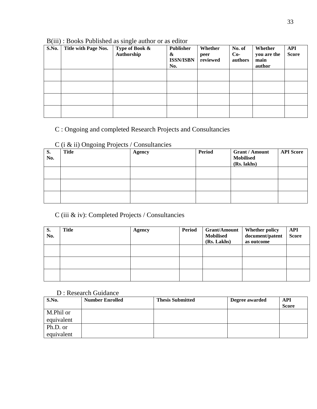| S.No. | Title with Page Nos. | Type of Book &<br>Authorship | <b>Publisher</b><br>&<br><b>ISSN/ISBN</b><br>No. | Whether<br>peer<br>reviewed | No. of<br>$Co-$<br>authors | Whether<br>you are the<br>main<br>author | <b>API</b><br><b>Score</b> |
|-------|----------------------|------------------------------|--------------------------------------------------|-----------------------------|----------------------------|------------------------------------------|----------------------------|
|       |                      |                              |                                                  |                             |                            |                                          |                            |
|       |                      |                              |                                                  |                             |                            |                                          |                            |
|       |                      |                              |                                                  |                             |                            |                                          |                            |
|       |                      |                              |                                                  |                             |                            |                                          |                            |

## B(iii) : Books Published as single author or as editor

# C : Ongoing and completed Research Projects and Consultancies

## C (i & ii) Ongoing Projects / Consultancies

| S.<br>No. | <b>Title</b> | <b>Agency</b> | <b>Period</b> | <b>Grant / Amount</b><br><b>Mobilised</b><br>(Rs. lakhs) | <b>API Score</b> |
|-----------|--------------|---------------|---------------|----------------------------------------------------------|------------------|
|           |              |               |               |                                                          |                  |
|           |              |               |               |                                                          |                  |
|           |              |               |               |                                                          |                  |

## C (iii & iv): Completed Projects / Consultancies

| S.<br>No. | <b>Title</b> | <b>Agency</b> | <b>Period</b> | <b>Grant/Amount</b><br><b>Mobilised</b><br>(Rs. Lakhs) | <b>Whether policy</b><br>document/patent<br>as outcome | API<br><b>Score</b> |
|-----------|--------------|---------------|---------------|--------------------------------------------------------|--------------------------------------------------------|---------------------|
|           |              |               |               |                                                        |                                                        |                     |
|           |              |               |               |                                                        |                                                        |                     |
|           |              |               |               |                                                        |                                                        |                     |

## D : Research Guidance

| S.No.      | <b>Number Enrolled</b> | <b>Thesis Submitted</b> | Degree awarded | API<br><b>Score</b> |
|------------|------------------------|-------------------------|----------------|---------------------|
| M.Phil or  |                        |                         |                |                     |
| equivalent |                        |                         |                |                     |
| Ph.D. or   |                        |                         |                |                     |
| equivalent |                        |                         |                |                     |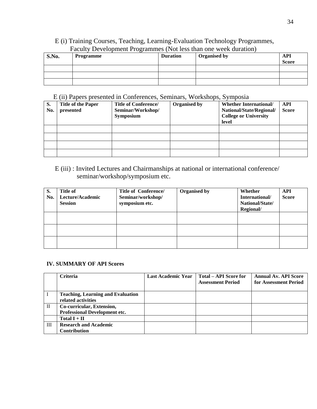## E (i) Training Courses, Teaching, Learning-Evaluation Technology Programmes, Faculty Development Programmes (Not less than one week duration)

| S.No. | Programme | <b>Duration</b> | <b>Organised by</b> | <b>API</b><br><b>Score</b> |
|-------|-----------|-----------------|---------------------|----------------------------|
|       |           |                 |                     |                            |
|       |           |                 |                     |                            |
|       |           |                 |                     |                            |

#### E (ii) Papers presented in Conferences, Seminars, Workshops, Symposia

| S.  | <b>Title of the Paper</b> | <b>Title of Conference/</b> | <b>Organised by</b> | <b>Whether International/</b> | API          |
|-----|---------------------------|-----------------------------|---------------------|-------------------------------|--------------|
| No. | presented                 | Seminar/Workshop/           |                     | National/State/Regional/      | <b>Score</b> |
|     |                           | <b>Symposium</b>            |                     | <b>College or University</b>  |              |
|     |                           |                             |                     | level                         |              |
|     |                           |                             |                     |                               |              |
|     |                           |                             |                     |                               |              |
|     |                           |                             |                     |                               |              |
|     |                           |                             |                     |                               |              |

## E (iii) : Invited Lectures and Chairmanships at national or international conference/ seminar/workshop/symposium etc.

| S.<br>No. | <b>Title of</b><br>Lecture/Academic<br><b>Session</b> | <b>Title of Conference/</b><br>Seminar/workshop/<br>symposium etc. | <b>Organised by</b> | Whether<br>International/<br>National/State/<br>Regional/ | <b>API</b><br><b>Score</b> |
|-----------|-------------------------------------------------------|--------------------------------------------------------------------|---------------------|-----------------------------------------------------------|----------------------------|
|           |                                                       |                                                                    |                     |                                                           |                            |
|           |                                                       |                                                                    |                     |                                                           |                            |
|           |                                                       |                                                                    |                     |                                                           |                            |

#### **IV. SUMMARY OF API Scores**

|     | <b>Criteria</b>                          | <b>Last Academic Year</b> | Total – API Score for    | <b>Annual Av. API Score</b> |
|-----|------------------------------------------|---------------------------|--------------------------|-----------------------------|
|     |                                          |                           | <b>Assessment Period</b> | for Assessment Period       |
|     |                                          |                           |                          |                             |
|     | <b>Teaching, Learning and Evaluation</b> |                           |                          |                             |
|     | related activities                       |                           |                          |                             |
| H   | Co-curricular, Extension,                |                           |                          |                             |
|     | <b>Professional Development etc.</b>     |                           |                          |                             |
|     | Total $I + II$                           |                           |                          |                             |
| III | <b>Research and Academic</b>             |                           |                          |                             |
|     | <b>Contribution</b>                      |                           |                          |                             |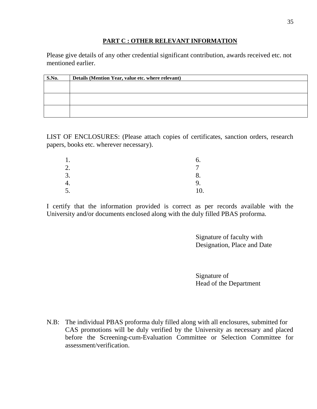### **PART C : OTHER RELEVANT INFORMATION**

Please give details of any other credential significant contribution, awards received etc. not mentioned earlier.

| S.No. | Details (Mention Year, value etc. where relevant) |
|-------|---------------------------------------------------|
|       |                                                   |
|       |                                                   |
|       |                                                   |
|       |                                                   |
|       |                                                   |
|       |                                                   |

LIST OF ENCLOSURES: (Please attach copies of certificates, sanction orders, research papers, books etc. wherever necessary).

| . .                  |                          |
|----------------------|--------------------------|
| $\bigcirc$<br>۷.     | $\overline{\phantom{0}}$ |
| 3.                   |                          |
| т.                   | 9.                       |
| $\overline{ }$<br>C. | 10.                      |

I certify that the information provided is correct as per records available with the University and/or documents enclosed along with the duly filled PBAS proforma.

> Signature of faculty with Designation, Place and Date

Signature of Head of the Department

N.B: The individual PBAS proforma duly filled along with all enclosures, submitted for CAS promotions will be duly verified by the University as necessary and placed before the Screening-cum-Evaluation Committee or Selection Committee for assessment/verification.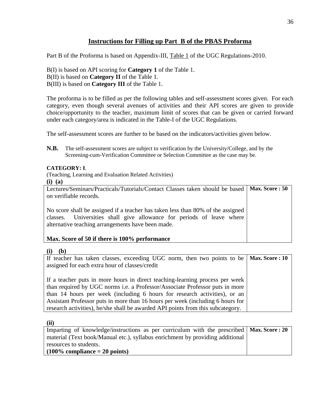## **Instructions for Filling up Part B of the PBAS Proforma**

Part B of the Proforma is based on Appendix-III, Table 1 of the UGC Regulations-2010.

B(I) is based on API scoring for **Category 1** of the Table 1. B(II) is based on **Category II** of the Table 1. B(III) is based on **Category III** of the Table 1.

The proforma is to be filled as per the following tables and self-assessment scores given. For each category, even though several avenues of activities and their API scores are given to provide choice/opportunity to the teacher, maximum limit of scores that can be given or carried forward under each category/area is indicated in the Table-I of the UGC Regulations.

The self-assessment scores are further to be based on the indicators/activities given below.

**N.B.** The self-assessment scores are subject to verification by the University/College, and by the Screening-cum-Verification Committee or Selection Committee as the case may be.

#### **CATEGORY: I**.

(Teaching, Learning and Evaluation Related Activities)

**(i) (a)** 

| Lectures/Seminars/Practicals/Tutorials/Contact Classes taken should be based   Max. Score : 50                                                                                                                |  |
|---------------------------------------------------------------------------------------------------------------------------------------------------------------------------------------------------------------|--|
| on verifiable records.                                                                                                                                                                                        |  |
| No score shall be assigned if a teacher has taken less than 80% of the assigned<br>classes. Universities shall give allowance for periods of leave where<br>alternative teaching arrangements have been made. |  |
| Max. Score of 50 if there is 100% performance                                                                                                                                                                 |  |

#### **(i) (b)**

| If teacher has taken classes, exceeding UGC norm, then two points to be   Max. Score: 10 |  |
|------------------------------------------------------------------------------------------|--|
| assigned for each extra hour of classes/credit                                           |  |
|                                                                                          |  |
| If a teacher puts in more hours in direct teaching-learning process per week             |  |
| than required by UGC norms <i>i.e.</i> a Professor/Associate Professor puts in more      |  |
| than 14 hours per week (including 6 hours for research activities), or an                |  |
| Assistant Professor puts in more than 16 hours per week (including 6 hours for           |  |
| research activities), he/she shall be awarded API points from this subcategory.          |  |

**(ii)** 

| Imparting of knowledge/instructions as per curriculum with the prescribed $\vert$ Max. Score : 20 |  |
|---------------------------------------------------------------------------------------------------|--|
| material (Text book/Manual etc.), syllabus enrichment by providing additional                     |  |
| resources to students.                                                                            |  |
| $(100\%$ compliance $= 20$ points)                                                                |  |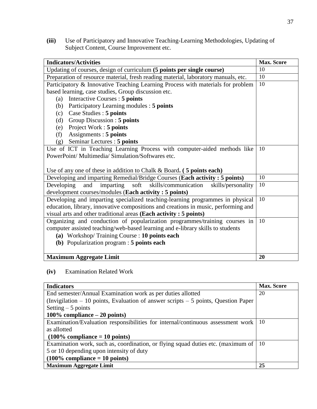**(iii)** Use of Participatory and Innovative Teaching-Learning Methodologies, Updating of Subject Content, Course Improvement etc.

| <b>Indicators/Activities</b>                                                       | <b>Max. Score</b> |
|------------------------------------------------------------------------------------|-------------------|
| Updating of courses, design of curriculum (5 points per single course)             | 10                |
| Preparation of resource material, fresh reading material, laboratory manuals, etc. | 10                |
| Participatory & Innovative Teaching Learning Process with materials for problem    | 10                |
| based learning, case studies, Group discussion etc.                                |                   |
| Interactive Courses : 5 points<br>(a)                                              |                   |
| (b) Participatory Learning modules : 5 points                                      |                   |
| (c) Case Studies : 5 points                                                        |                   |
| Group Discussion : 5 points<br>(d)                                                 |                   |
| (e) Project Work : 5 points                                                        |                   |
| Assignments : 5 points<br>(f)                                                      |                   |
| Seminar Lectures : 5 points<br>(g)                                                 |                   |
| Use of ICT in Teaching Learning Process with computer-aided methods like           | 10                |
| PowerPoint/ Multimedia/ Simulation/Softwares etc.                                  |                   |
|                                                                                    |                   |
| Use of any one of these in addition to Chalk & Board. $(5 \text{ points each})$    |                   |
| Developing and imparting Remedial/Bridge Courses (Each activity: 5 points)         | 10                |
| imparting soft<br>skills/communication<br>Developing<br>and<br>skills/personality  | 10                |
| development courses/modules (Each activity: 5 points)                              |                   |
| Developing and imparting specialized teaching-learning programmes in physical      | 10                |
| education, library, innovative compositions and creations in music, performing and |                   |
| visual arts and other traditional areas (Each activity: 5 points)                  |                   |
| Organizing and conduction of popularization programmes/training courses in         | 10                |
| computer assisted teaching/web-based learning and e-library skills to students     |                   |
| (a) Workshop/Training Course : 10 points each                                      |                   |
| (b) Popularization program : 5 points each                                         |                   |
|                                                                                    |                   |
| <b>Maximum Aggregate Limit</b>                                                     | 20                |

**(iv)** Examination Related Work

| <b>Indicators</b>                                                                    | <b>Max.</b> Score |
|--------------------------------------------------------------------------------------|-------------------|
| End semester/Annual Examination work as per duties allotted                          | 20                |
| (Invigilation $-10$ points, Evaluation of answer scripts $-5$ points, Question Paper |                   |
| Setting $-5$ points                                                                  |                   |
| 100% compliance $-20$ points)                                                        |                   |
| Examination/Evaluation responsibilities for internal/continuous assessment work      | 10                |
| as allotted                                                                          |                   |
| $(100\%$ compliance = 10 points)                                                     |                   |
| Examination work, such as, coordination, or flying squad duties etc. (maximum of     | 10                |
| 5 or 10 depending upon intensity of duty                                             |                   |
| $(100\%$ compliance = 10 points)                                                     |                   |
| <b>Maximum Aggregate Limit</b>                                                       | 25                |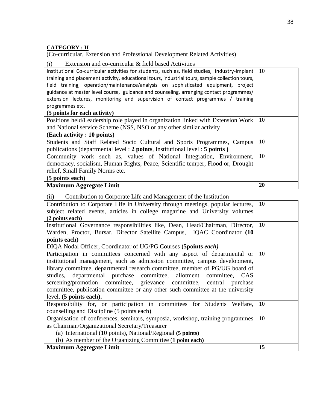## **CATEGORY : II**

(Co-curricular, Extension and Professional Development Related Activities)

(i) Extension and co-curricular & field based Activities

| Institutional Co-curricular activities for students, such as, field studies, industry-implant<br>training and placement activity, educational tours, industrial tours, sample collection tours,<br>field training, operation/maintenance/analysis on sophisticated equipment, project<br>guidance at master level course, guidance and counseling, arranging contact programmes/ | 10 |
|----------------------------------------------------------------------------------------------------------------------------------------------------------------------------------------------------------------------------------------------------------------------------------------------------------------------------------------------------------------------------------|----|
| extension lectures, monitoring and supervision of contact programmes / training                                                                                                                                                                                                                                                                                                  |    |
| programmes etc.<br>(5 points for each activity)                                                                                                                                                                                                                                                                                                                                  |    |
| Positions held/Leadership role played in organization linked with Extension Work                                                                                                                                                                                                                                                                                                 | 10 |
| and National service Scheme (NSS, NSO or any other similar activity                                                                                                                                                                                                                                                                                                              |    |
| (Each activity : 10 points)                                                                                                                                                                                                                                                                                                                                                      |    |
| Students and Staff Related Socio Cultural and Sports Programmes, Campus                                                                                                                                                                                                                                                                                                          | 10 |
| publications (departmental level: 2 points, Institutional level: 5 points)                                                                                                                                                                                                                                                                                                       |    |
| Community work such as, values of National Integration, Environment,                                                                                                                                                                                                                                                                                                             | 10 |
| democracy, socialism, Human Rights, Peace, Scientific temper, Flood or, Drought                                                                                                                                                                                                                                                                                                  |    |
| relief, Small Family Norms etc.                                                                                                                                                                                                                                                                                                                                                  |    |
| (5 points each)                                                                                                                                                                                                                                                                                                                                                                  |    |
| <b>Maximum Aggregate Limit</b>                                                                                                                                                                                                                                                                                                                                                   | 20 |

## (ii) Contribution to Corporate Life and Management of the Institution

| Contribution to Corporate Life in University through meetings, popular lectures,<br>subject related events, articles in college magazine and University volumes<br>(2 points each) | 10 |
|------------------------------------------------------------------------------------------------------------------------------------------------------------------------------------|----|
| Institutional Governance responsibilities like, Dean, Head/Chairman, Director,                                                                                                     | 10 |
|                                                                                                                                                                                    |    |
| Warden, Proctor, Bursar, Director Satellite Campus, IQAC Coordinator (10)                                                                                                          |    |
| points each)                                                                                                                                                                       |    |
| DIQA Nodal Officer, Coordinator of UG/PG Courses (5points each)                                                                                                                    |    |
| Participation in committees concerned with any aspect of departmental or                                                                                                           | 10 |
| institutional management, such as admission committee, campus development,                                                                                                         |    |
| library committee, departmental research committee, member of PG/UG board of                                                                                                       |    |
| studies, departmental purchase committee, allotment committee, CAS                                                                                                                 |    |
| screening/promotion committee, grievance committee, central purchase                                                                                                               |    |
| committee, publication committee or any other such committee at the university                                                                                                     |    |
| level. (5 points each).                                                                                                                                                            |    |
|                                                                                                                                                                                    |    |
| Responsibility for, or participation in committees for Students Welfare,                                                                                                           | 10 |
| counselling and Discipline (5 points each)                                                                                                                                         |    |
| Organisation of conferences, seminars, symposia, workshop, training programmes                                                                                                     | 10 |
| as Chairman/Organizational Secretary/Treasurer                                                                                                                                     |    |
| (a) International (10 points), National/Regional (5 points)                                                                                                                        |    |
| (b) As member of the Organizing Committee (1 point each)                                                                                                                           |    |
| <b>Maximum Aggregate Limit</b>                                                                                                                                                     | 15 |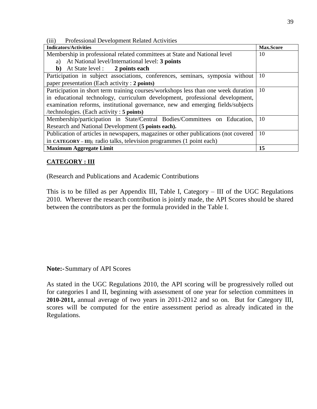(iii) Professional Development Related Activities

| <b>Indicators/Activities</b>                                                        | <b>Max.Score</b> |
|-------------------------------------------------------------------------------------|------------------|
| Membership in professional related committees at State and National level           | 10               |
| At National level/International level: 3 points<br>a)                               |                  |
| At State level : 2 points each<br>b)                                                |                  |
| Participation in subject associations, conferences, seminars, symposia without      | 10               |
| paper presentation (Each activity : 2 points)                                       |                  |
| Participation in short term training courses/workshops less than one week duration  | 10               |
| in educational technology, curriculum development, professional development,        |                  |
| examination reforms, institutional governance, new and emerging fields/subjects     |                  |
| /technologies. (Each activity: 5 points)                                            |                  |
| Membership/participation in State/Central Bodies/Committees on Education,           | 10               |
| Research and National Development (5 points each).                                  |                  |
| Publication of articles in newspapers, magazines or other publications (not covered | 10               |
| in CATEGORY – III); radio talks, television programmes (1 point each)               |                  |
| <b>Maximum Aggregate Limit</b>                                                      | 15               |

## **CATEGORY : III**

(Research and Publications and Academic Contributions

This is to be filled as per Appendix III, Table I, Category – III of the UGC Regulations 2010. Wherever the research contribution is jointly made, the API Scores should be shared between the contributors as per the formula provided in the Table I.

**Note:-** Summary of API Scores

As stated in the UGC Regulations 2010, the API scoring will be progressively rolled out for categories I and II, beginning with assessment of one year for selection committees in **2010-2011,** annual average of two years in 2011-2012 and so on. But for Category III, scores will be computed for the entire assessment period as already indicated in the Regulations.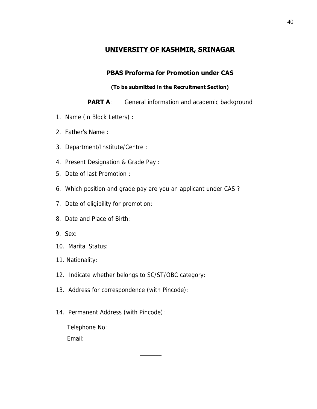# **UNIVERSITY OF KASHMIR, SRINAGAR**

# **PBAS Proforma for Promotion under CAS**

## **(To be submitted in the Recruitment Section)**

## **PART A:** General information and academic background

- 1. Name (in Block Letters) :
- 2. Father's Name :
- 3. Department/Institute/Centre :
- 4. Present Designation & Grade Pay :
- 5. Date of last Promotion :
- 6. Which position and grade pay are you an applicant under CAS ?
- 7. Date of eligibility for promotion:
- 8. Date and Place of Birth:
- 9. Sex:
- 10. Marital Status:
- 11. Nationality:
- 12. Indicate whether belongs to SC/ST/OBC category:
- 13. Address for correspondence (with Pincode):
- 14. Permanent Address (with Pincode):

\_\_\_\_\_\_\_

 Telephone No: Email: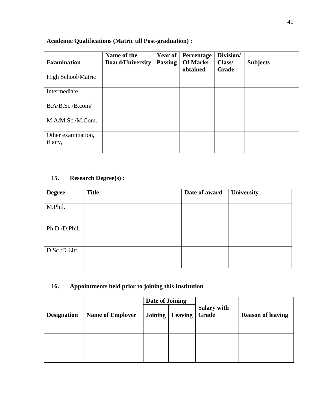# **Academic Qualifications (Matric till Post-graduation) :**

| <b>Examination</b>            | Name of the<br><b>Board/University</b> | Year of<br><b>Passing</b> | Percentage<br><b>Of Marks</b><br>obtained | Division/<br>Class/<br>Grade | <b>Subjects</b> |
|-------------------------------|----------------------------------------|---------------------------|-------------------------------------------|------------------------------|-----------------|
| <b>High School/Matric</b>     |                                        |                           |                                           |                              |                 |
| Intermediate                  |                                        |                           |                                           |                              |                 |
| B.A/B.Sc./B.com/              |                                        |                           |                                           |                              |                 |
| M.A/M.Sc./M.Com.              |                                        |                           |                                           |                              |                 |
| Other examination,<br>if any, |                                        |                           |                                           |                              |                 |

## **15. Research Degree(s) :**

| <b>Degree</b> | <b>Title</b> | Date of award | University |
|---------------|--------------|---------------|------------|
|               |              |               |            |
| M.Phil.       |              |               |            |
|               |              |               |            |
|               |              |               |            |
| Ph.D./D.Phil. |              |               |            |
|               |              |               |            |
|               |              |               |            |
| D.Sc./D.Litt. |              |               |            |
|               |              |               |            |
|               |              |               |            |

## **16. Appointments held prior to joining this Institution**

|                    |                         | Date of Joining |         |                             |                          |
|--------------------|-------------------------|-----------------|---------|-----------------------------|--------------------------|
| <b>Designation</b> | <b>Name of Employer</b> | Joining         | Leaving | <b>Salary with</b><br>Grade | <b>Reason of leaving</b> |
|                    |                         |                 |         |                             |                          |
|                    |                         |                 |         |                             |                          |
|                    |                         |                 |         |                             |                          |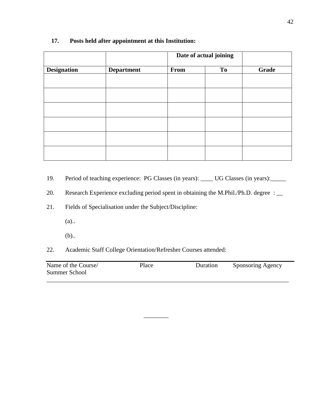|                    |                   | Date of actual joining |    |              |
|--------------------|-------------------|------------------------|----|--------------|
| <b>Designation</b> | <b>Department</b> | From                   | To | <b>Grade</b> |
|                    |                   |                        |    |              |
|                    |                   |                        |    |              |
|                    |                   |                        |    |              |
|                    |                   |                        |    |              |
|                    |                   |                        |    |              |
|                    |                   |                        |    |              |

### **17. Posts held after appointment at this Institution:**

19. Period of teaching experience: PG Classes (in years): \_\_\_\_ UG Classes (in years): \_\_\_\_\_

20. Research Experience excluding period spent in obtaining the M.Phil./Ph.D. degree : \_\_

21. Fields of Specialisation under the Subject/Discipline:

(a)..

(b)..

22. Academic Staff College Orientation/Refresher Courses attended:

| Name of the Course/ | Place | Duration | Sponsoring Agency |
|---------------------|-------|----------|-------------------|
| Summer School       |       |          |                   |
|                     |       |          |                   |

 $\overline{\phantom{a}}$   $\overline{\phantom{a}}$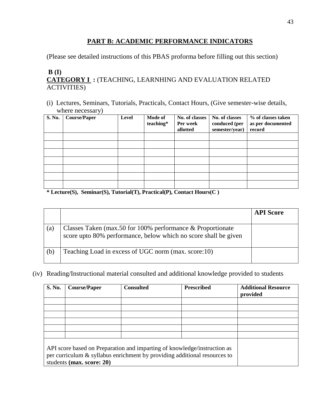## **PART B: ACADEMIC PERFORMANCE INDICATORS**

(Please see detailed instructions of this PBAS proforma before filling out this section)

## **B (I) CATEGORY I :** (TEACHING, LEARNHING AND EVALUATION RELATED ACTIVITIES)

(i) Lectures, Seminars, Tutorials, Practicals, Contact Hours, (Give semester-wise details, where necessary)

| S. No. | <b>Course/Paper</b> | Level | <b>Mode of</b><br>teaching* | No. of classes<br>Per week<br>allotted | No. of classes<br>conduced (per<br>semester/year) | % of classes taken<br>as per documented<br>record |
|--------|---------------------|-------|-----------------------------|----------------------------------------|---------------------------------------------------|---------------------------------------------------|
|        |                     |       |                             |                                        |                                                   |                                                   |
|        |                     |       |                             |                                        |                                                   |                                                   |
|        |                     |       |                             |                                        |                                                   |                                                   |
|        |                     |       |                             |                                        |                                                   |                                                   |
|        |                     |       |                             |                                        |                                                   |                                                   |
|        |                     |       |                             |                                        |                                                   |                                                   |
|        |                     |       |                             |                                        |                                                   |                                                   |

**\* Lecture(S), Seminar(S), Tutorial(T), Practical(P), Contact Hours(C )** 

|     |                                                                                                                                 | <b>API Score</b> |
|-----|---------------------------------------------------------------------------------------------------------------------------------|------------------|
| (a) | Classes Taken (max.50 for 100% performance $&$ Proportionate<br>score upto 80% performance, below which no score shall be given |                  |
| (b) | Teaching Load in excess of UGC norm (max. score:10)                                                                             |                  |

(iv) Reading/Instructional material consulted and additional knowledge provided to students

| <b>S. No.</b> | <b>Course/Paper</b>       | <b>Consulted</b>                                                                                                                                      | <b>Prescribed</b> | <b>Additional Resource</b><br>provided |
|---------------|---------------------------|-------------------------------------------------------------------------------------------------------------------------------------------------------|-------------------|----------------------------------------|
|               |                           |                                                                                                                                                       |                   |                                        |
|               |                           |                                                                                                                                                       |                   |                                        |
|               |                           |                                                                                                                                                       |                   |                                        |
|               |                           |                                                                                                                                                       |                   |                                        |
|               |                           |                                                                                                                                                       |                   |                                        |
|               |                           |                                                                                                                                                       |                   |                                        |
|               | students (max. score: 20) | API score based on Preparation and imparting of knowledge/instruction as<br>per curriculum & syllabus enrichment by providing additional resources to |                   |                                        |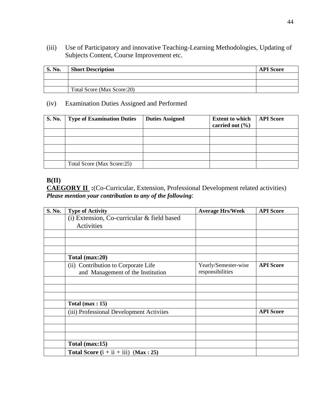(iii) Use of Participatory and innovative Teaching-Learning Methodologies, Updating of Subjects Content, Course Improvement etc.

| <b>S. No.</b> | <b>Short Description</b>   | <b>API</b> Score |
|---------------|----------------------------|------------------|
|               |                            |                  |
|               |                            |                  |
|               | Total Score (Max Score:20) |                  |

## (iv) Examination Duties Assigned and Performed

| <b>S. No.</b> | <b>Type of Examination Duties</b> | <b>Duties Assigned</b> | <b>Extent to which</b><br>carried out $(\% )$ | <b>API Score</b> |
|---------------|-----------------------------------|------------------------|-----------------------------------------------|------------------|
|               |                                   |                        |                                               |                  |
|               |                                   |                        |                                               |                  |
|               |                                   |                        |                                               |                  |
|               |                                   |                        |                                               |                  |
|               | Total Score (Max Score:25)        |                        |                                               |                  |

# **B(II)**

**CAEGORY II :**(Co-Curricular, Extension, Professional Development related activities) *Please mention your contribution to any of the following*:

| S. No. | <b>Type of Activity</b>                    | <b>Average Hrs/Week</b> | <b>API</b> Score |
|--------|--------------------------------------------|-------------------------|------------------|
|        | (i) Extension, Co-curricular & field based |                         |                  |
|        | Activities                                 |                         |                  |
|        |                                            |                         |                  |
|        |                                            |                         |                  |
|        |                                            |                         |                  |
|        | Total (max:20)                             |                         |                  |
|        | (ii) Contribution to Corporate Life        | Yearly/Semester-wise    | <b>API Score</b> |
|        | and Management of the Institution          | responsibilities        |                  |
|        |                                            |                         |                  |
|        |                                            |                         |                  |
|        |                                            |                         |                  |
|        | Total $(max: 15)$                          |                         |                  |
|        | (iii) Professional Development Activiies   |                         | <b>API</b> Score |
|        |                                            |                         |                  |
|        |                                            |                         |                  |
|        |                                            |                         |                  |
|        | Total (max:15)                             |                         |                  |
|        | Total Score $(i + ii + iii)$ (Max: 25)     |                         |                  |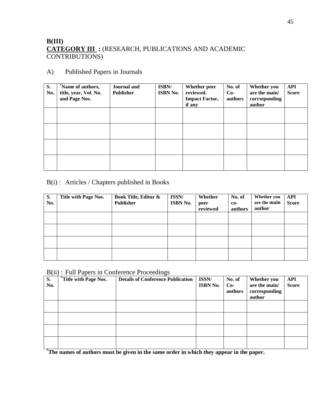## **B(III) CATEGORY III :** (RESEARCH, PUBLICATIONS AND ACADEMIC CONTRIBUTIONS)

## A) Published Papers in Journals

| S.<br>No. | Name of authors,<br>title, year, Vol. No.<br>and Page Nos. | <b>Journal</b> and<br><b>Publisher</b> | ISBN/<br><b>ISBN No.</b> | Whether peer<br>reviewed.<br><b>Impact Factor,</b><br>if any | No. of<br>$Co-$<br>authors | Whether you<br>are the main/<br>corrseponding<br>author | <b>API</b><br><b>Score</b> |
|-----------|------------------------------------------------------------|----------------------------------------|--------------------------|--------------------------------------------------------------|----------------------------|---------------------------------------------------------|----------------------------|
|           |                                                            |                                        |                          |                                                              |                            |                                                         |                            |
|           |                                                            |                                        |                          |                                                              |                            |                                                         |                            |
|           |                                                            |                                        |                          |                                                              |                            |                                                         |                            |
|           |                                                            |                                        |                          |                                                              |                            |                                                         |                            |

## B(i) : Articles / Chapters published in Books

| S.<br>No. | <b>Title with Page Nos.</b> | <b>Book Title, Editor &amp;</b><br>Publisher | ISSN/<br><b>ISBN No.</b> | Whether<br>peer<br>reviewed | No. of<br>$co-$<br>authors | Whether you<br>are the main<br>author | <b>API</b><br><b>Score</b> |
|-----------|-----------------------------|----------------------------------------------|--------------------------|-----------------------------|----------------------------|---------------------------------------|----------------------------|
|           |                             |                                              |                          |                             |                            |                                       |                            |
|           |                             |                                              |                          |                             |                            |                                       |                            |
|           |                             |                                              |                          |                             |                            |                                       |                            |
|           |                             |                                              |                          |                             |                            |                                       |                            |

### B(ii) : Full Papers in Conference Proceedings

| <b>S.</b><br>No. | <i>*Title with Page Nos.</i> | <b>Details of Conference Publication</b> | ISSN/<br><b>ISBN No.</b> | No. of<br>$Co-$<br>authors | Whether you<br>are the main/<br>corresponding<br>author | <b>API</b><br><b>Score</b> |
|------------------|------------------------------|------------------------------------------|--------------------------|----------------------------|---------------------------------------------------------|----------------------------|
|                  |                              |                                          |                          |                            |                                                         |                            |
|                  |                              |                                          |                          |                            |                                                         |                            |
|                  |                              |                                          |                          |                            |                                                         |                            |
|                  |                              |                                          |                          |                            |                                                         |                            |

**\*The names of authors must be given in the same order in which they appear in the paper.**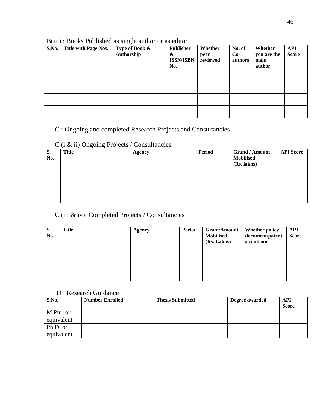| S.No. | Title with Page Nos. | Type of Book &<br>Authorship | Publisher<br>&<br><b>ISSN/ISBN</b><br>No. | Whether<br>peer<br>reviewed | No. of<br>$Co-$<br>authors | Whether<br>you are the<br>main<br>author | <b>API</b><br><b>Score</b> |
|-------|----------------------|------------------------------|-------------------------------------------|-----------------------------|----------------------------|------------------------------------------|----------------------------|
|       |                      |                              |                                           |                             |                            |                                          |                            |
|       |                      |                              |                                           |                             |                            |                                          |                            |
|       |                      |                              |                                           |                             |                            |                                          |                            |
|       |                      |                              |                                           |                             |                            |                                          |                            |

## B(iii) : Books Published as single author or as editor

# C : Ongoing and completed Research Projects and Consultancies

## C (i & ii) Ongoing Projects / Consultancies

| S.<br>No. | <u> ب</u><br><b>Title</b> | <b>Agency</b> | <b>Period</b> | <b>Grand / Amount</b><br><b>Mobilised</b><br>(Rs. lakhs) | <b>API Score</b> |
|-----------|---------------------------|---------------|---------------|----------------------------------------------------------|------------------|
|           |                           |               |               |                                                          |                  |
|           |                           |               |               |                                                          |                  |
|           |                           |               |               |                                                          |                  |

## C (iii & iv): Completed Projects / Consultancies

| S.<br>No. | <b>Title</b> | <b>Agency</b> | <b>Period</b> | <b>Grant/Amount</b><br><b>Mobilised</b><br>(Rs. Lakhs) | <b>Whether policy</b><br>document/patent<br>as outcome | API<br><b>Score</b> |
|-----------|--------------|---------------|---------------|--------------------------------------------------------|--------------------------------------------------------|---------------------|
|           |              |               |               |                                                        |                                                        |                     |
|           |              |               |               |                                                        |                                                        |                     |
|           |              |               |               |                                                        |                                                        |                     |

## D : Research Guidance

| S.No.      | <b>Number Enrolled</b> | <b>Thesis Submitted</b> | Degree awarded | API<br><b>Score</b> |
|------------|------------------------|-------------------------|----------------|---------------------|
| M.Phil or  |                        |                         |                |                     |
| equivalent |                        |                         |                |                     |
| Ph.D. or   |                        |                         |                |                     |
| equivalent |                        |                         |                |                     |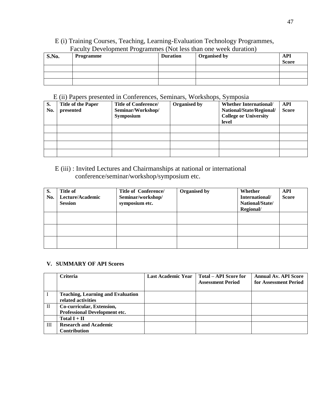## E (i) Training Courses, Teaching, Learning-Evaluation Technology Programmes, Faculty Development Programmes (Not less than one week duration)

| S.No. | Programme | <b>Duration</b> | <b>Organised by</b> | <b>API</b><br><b>Score</b> |
|-------|-----------|-----------------|---------------------|----------------------------|
|       |           |                 |                     |                            |
|       |           |                 |                     |                            |
|       |           |                 |                     |                            |

#### E (ii) Papers presented in Conferences, Seminars, Workshops, Symposia

| S.  | <b>Title of the Paper</b> | <b>Title of Conference/</b> | <b>Organised by</b> | <b>Whether International/</b> | API          |
|-----|---------------------------|-----------------------------|---------------------|-------------------------------|--------------|
| No. | presented                 | Seminar/Workshop/           |                     | National/State/Regional/      | <b>Score</b> |
|     |                           | <b>Symposium</b>            |                     | <b>College or University</b>  |              |
|     |                           |                             |                     | level                         |              |
|     |                           |                             |                     |                               |              |
|     |                           |                             |                     |                               |              |
|     |                           |                             |                     |                               |              |
|     |                           |                             |                     |                               |              |

## E (iii) : Invited Lectures and Chairmanships at national or international conference/seminar/workshop/symposium etc.

| S.<br>No. | Title of<br>Lecture/Academic<br><b>Session</b> | Title of Conference/<br>Seminar/workshop/<br>symposium etc. | <b>Organised by</b> | Whether<br>International/<br>National/State/<br>Regional/ | <b>API</b><br><b>Score</b> |
|-----------|------------------------------------------------|-------------------------------------------------------------|---------------------|-----------------------------------------------------------|----------------------------|
|           |                                                |                                                             |                     |                                                           |                            |
|           |                                                |                                                             |                     |                                                           |                            |
|           |                                                |                                                             |                     |                                                           |                            |

#### **V. SUMMARY OF API Scores**

|          | <b>Criteria</b>                          | <b>Last Academic Year</b> | Total – API Score for    | <b>Annual Av. API Score</b> |
|----------|------------------------------------------|---------------------------|--------------------------|-----------------------------|
|          |                                          |                           | <b>Assessment Period</b> | for Assessment Period       |
|          |                                          |                           |                          |                             |
|          | <b>Teaching, Learning and Evaluation</b> |                           |                          |                             |
|          | related activities                       |                           |                          |                             |
| $\rm II$ | Co-curricular, Extension,                |                           |                          |                             |
|          | <b>Professional Development etc.</b>     |                           |                          |                             |
|          | Total $I + II$                           |                           |                          |                             |
| III      | <b>Research and Academic</b>             |                           |                          |                             |
|          | <b>Contribution</b>                      |                           |                          |                             |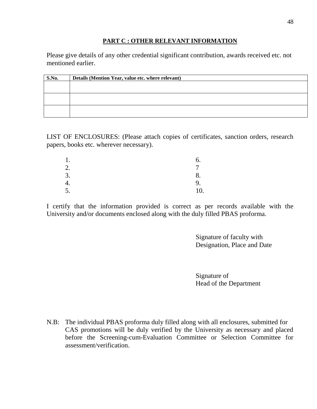### **PART C : OTHER RELEVANT INFORMATION**

Please give details of any other credential significant contribution, awards received etc. not mentioned earlier.

| S.No. | Details (Mention Year, value etc. where relevant) |
|-------|---------------------------------------------------|
|       |                                                   |
|       |                                                   |
|       |                                                   |
|       |                                                   |
|       |                                                   |
|       |                                                   |

LIST OF ENCLOSURES: (Please attach copies of certificates, sanction orders, research papers, books etc. wherever necessary).

| . .                  |     |
|----------------------|-----|
| $\mathcal{D}$<br>۷.  |     |
| 3.                   |     |
| т.                   | 9.  |
| $\overline{ }$<br>Ć. | 10. |

I certify that the information provided is correct as per records available with the University and/or documents enclosed along with the duly filled PBAS proforma.

> Signature of faculty with Designation, Place and Date

Signature of Head of the Department

N.B: The individual PBAS proforma duly filled along with all enclosures, submitted for CAS promotions will be duly verified by the University as necessary and placed before the Screening-cum-Evaluation Committee or Selection Committee for assessment/verification.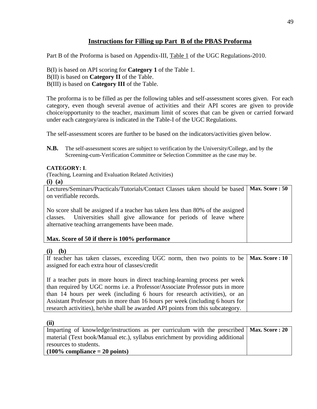## **Instructions for Filling up Part B of the PBAS Proforma**

Part B of the Proforma is based on Appendix-III, Table 1 of the UGC Regulations-2010.

B(I) is based on API scoring for **Category 1** of the Table 1. B(II) is based on **Category II** of the Table. B(III) is based on **Category III** of the Table.

The proforma is to be filled as per the following tables and self-assessment scores given. For each category, even though several avenue of activities and their API scores are given to provide choice/opportunity to the teacher, maximum limit of scores that can be given or carried forward under each category/area is indicated in the Table-I of the UGC Regulations.

The self-assessment scores are further to be based on the indicators/activities given below.

**N.B.** The self-assessment scores are subject to verification by the University/College, and by the Screening-cum-Verification Committee or Selection Committee as the case may be.

#### **CATEGORY: I**.

(Teaching, Learning and Evaluation Related Activities)

**(i) (a)** 

| Lectures/Seminars/Practicals/Tutorials/Contact Classes taken should be based   Max. Score : 50                                                                                                                |  |
|---------------------------------------------------------------------------------------------------------------------------------------------------------------------------------------------------------------|--|
| on verifiable records.                                                                                                                                                                                        |  |
| No score shall be assigned if a teacher has taken less than 80% of the assigned<br>classes. Universities shall give allowance for periods of leave where<br>alternative teaching arrangements have been made. |  |
| Max. Score of 50 if there is 100% performance                                                                                                                                                                 |  |

#### **(i) (b)**

| If teacher has taken classes, exceeding UGC norm, then two points to be   Max. Score: 10 |  |
|------------------------------------------------------------------------------------------|--|
| assigned for each extra hour of classes/credit                                           |  |
|                                                                                          |  |
| If a teacher puts in more hours in direct teaching-learning process per week             |  |
| than required by UGC norms <i>i.e.</i> a Professor/Associate Professor puts in more      |  |
| than 14 hours per week (including 6 hours for research activities), or an                |  |
| Assistant Professor puts in more than 16 hours per week (including 6 hours for           |  |
| research activities), he/she shall be awarded API points from this subcategory.          |  |

**(ii)** 

| Imparting of knowledge/instructions as per curriculum with the prescribed $\vert$ Max. Score : 20 |  |
|---------------------------------------------------------------------------------------------------|--|
| material (Text book/Manual etc.), syllabus enrichment by providing additional                     |  |
| resources to students.                                                                            |  |
| $(100\%$ compliance $= 20$ points)                                                                |  |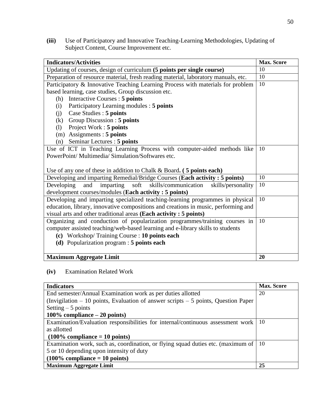**(iii)** Use of Participatory and Innovative Teaching-Learning Methodologies, Updating of Subject Content, Course Improvement etc.

| <b>Indicators/Activities</b>                                                       | <b>Max. Score</b> |
|------------------------------------------------------------------------------------|-------------------|
| Updating of courses, design of curriculum (5 points per single course)             | 10                |
| Preparation of resource material, fresh reading material, laboratory manuals, etc. | 10                |
| Participatory & Innovative Teaching Learning Process with materials for problem    | 10                |
| based learning, case studies, Group discussion etc.                                |                   |
| Interactive Courses : 5 points<br>(h)                                              |                   |
| Participatory Learning modules : 5 points<br>(i)                                   |                   |
| Case Studies : 5 points<br>(j)                                                     |                   |
| Group Discussion : 5 points<br>(k)                                                 |                   |
| (1) Project Work : 5 points                                                        |                   |
| $(m)$ Assignments : 5 points                                                       |                   |
| Seminar Lectures : 5 points<br>(n)                                                 |                   |
| Use of ICT in Teaching Learning Process with computer-aided methods like           | 10                |
| PowerPoint/Multimedia/Simulation/Softwares etc.                                    |                   |
|                                                                                    |                   |
| Use of any one of these in addition to Chalk & Board. $(5 \text{ points each})$    |                   |
| Developing and imparting Remedial/Bridge Courses (Each activity: 5 points)         | 10                |
| skills/communication<br>imparting soft<br>Developing<br>and<br>skills/personality  | 10                |
| development courses/modules (Each activity: 5 points)                              |                   |
| Developing and imparting specialized teaching-learning programmes in physical      | 10                |
| education, library, innovative compositions and creations in music, performing and |                   |
| visual arts and other traditional areas (Each activity: 5 points)                  |                   |
| Organizing and conduction of popularization programmes/training courses in         | 10                |
| computer assisted teaching/web-based learning and e-library skills to students     |                   |
| (c) Workshop/Training Course : 10 points each                                      |                   |
| (d) Popularization program : 5 points each                                         |                   |
|                                                                                    |                   |
| <b>Maximum Aggregate Limit</b>                                                     | 20                |

**(iv)** Examination Related Work

| <b>Indicators</b>                                                                    | <b>Max.</b> Score |
|--------------------------------------------------------------------------------------|-------------------|
| End semester/Annual Examination work as per duties allotted                          | 20                |
| (Invigilation $-10$ points, Evaluation of answer scripts $-5$ points, Question Paper |                   |
| Setting $-5$ points                                                                  |                   |
| 100% compliance $-20$ points)                                                        |                   |
| Examination/Evaluation responsibilities for internal/continuous assessment work      | 10                |
| as allotted                                                                          |                   |
| $(100\%$ compliance = 10 points)                                                     |                   |
| Examination work, such as, coordination, or flying squad duties etc. (maximum of     | 10                |
| 5 or 10 depending upon intensity of duty                                             |                   |
| $(100\%$ compliance = 10 points)                                                     |                   |
| <b>Maximum Aggregate Limit</b>                                                       | 25                |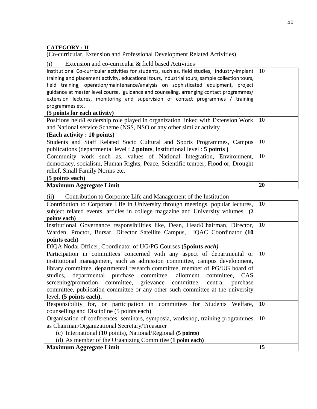## **CATEGORY : II**

(Co-curricular, Extension and Professional Development Related Activities)

(i) Extension and co-curricular & field based Activities

| Institutional Co-curricular activities for students, such as, field studies, industry-implant<br>training and placement activity, educational tours, industrial tours, sample collection tours,<br>field training, operation/maintenance/analysis on sophisticated equipment, project<br>guidance at master level course, guidance and counseling, arranging contact programmes/ | 10 |
|----------------------------------------------------------------------------------------------------------------------------------------------------------------------------------------------------------------------------------------------------------------------------------------------------------------------------------------------------------------------------------|----|
| extension lectures, monitoring and supervision of contact programmes / training                                                                                                                                                                                                                                                                                                  |    |
| programmes etc.<br>(5 points for each activity)                                                                                                                                                                                                                                                                                                                                  |    |
| Positions held/Leadership role played in organization linked with Extension Work                                                                                                                                                                                                                                                                                                 | 10 |
| and National service Scheme (NSS, NSO or any other similar activity                                                                                                                                                                                                                                                                                                              |    |
| (Each activity : 10 points)                                                                                                                                                                                                                                                                                                                                                      |    |
| Students and Staff Related Socio Cultural and Sports Programmes, Campus                                                                                                                                                                                                                                                                                                          | 10 |
| publications (departmental level: 2 points, Institutional level: 5 points)                                                                                                                                                                                                                                                                                                       |    |
| Community work such as, values of National Integration, Environment,                                                                                                                                                                                                                                                                                                             | 10 |
| democracy, socialism, Human Rights, Peace, Scientific temper, Flood or, Drought                                                                                                                                                                                                                                                                                                  |    |
| relief, Small Family Norms etc.                                                                                                                                                                                                                                                                                                                                                  |    |
| (5 points each)                                                                                                                                                                                                                                                                                                                                                                  |    |
| <b>Maximum Aggregate Limit</b>                                                                                                                                                                                                                                                                                                                                                   | 20 |

| Contribution to Corporate Life and Management of the Institution<br>(ii)            |  |
|-------------------------------------------------------------------------------------|--|
| Contribution to Corporate Life in University through meetings, popular lectures, 10 |  |
| subject related events, articles in college magazine and University volumes (2)     |  |
| points each)                                                                        |  |
| Institutional Governance responsibilities like, Dean, Head/Chairman, Director, 10   |  |
| Worden Dreater Durser Director Setellite Compus JOAC Coordinator (10                |  |

| warden, Proctor, Bursar, Director Satellite Campus, IQAC Coordinator (IU       |    |
|--------------------------------------------------------------------------------|----|
| points each)                                                                   |    |
| DIQA Nodal Officer, Coordinator of UG/PG Courses (5points each)                |    |
| Participation in committees concerned with any aspect of departmental or       | 10 |
| institutional management, such as admission committee, campus development,     |    |
| library committee, departmental research committee, member of PG/UG board of   |    |
| studies, departmental purchase committee, allotment committee, CAS             |    |
| screening/promotion committee, grievance committee, central purchase           |    |
| committee, publication committee or any other such committee at the university |    |
| level. (5 points each).                                                        |    |
| Responsibility for, or participation in committees for Students Welfare,       | 10 |
| counselling and Discipline (5 points each)                                     |    |
| Organisation of conferences, seminars, symposia, workshop, training programmes | 10 |
| as Chairman/Organizational Secretary/Treasurer                                 |    |
| (c) International (10 points), National/Regional (5 points)                    |    |
| (d) As member of the Organizing Committee (1 point each)                       |    |
| <b>Maximum Aggregate Limit</b>                                                 | 15 |